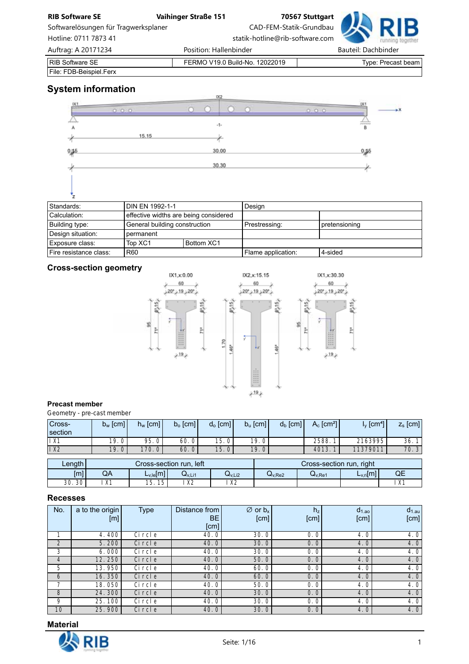| <b>RIB Software SE</b>               | Vaihinger Straße 151   |                                 | 70567 Stuttgart |                     |                    |
|--------------------------------------|------------------------|---------------------------------|-----------------|---------------------|--------------------|
| Softwarelösungen für Tragwerksplaner |                        | CAD-FEM-Statik-Grundbau         |                 |                     |                    |
| Hotline: 0711 7873 41                |                        | statik-hotline@rib-software.com |                 |                     |                    |
| Auftrag: A 20171234                  | Position: Hallenbinder |                                 |                 | Bauteil: Dachbinder |                    |
| <b>RIB Software SE</b>               |                        | FERMO V19.0 Build-No. 12022019  |                 |                     | Type: Precast beam |
| File: FDB-Beispiel.Ferx              |                        |                                 |                 |                     |                    |

# **System information**

|           |       | 1X2   |                |       |
|-----------|-------|-------|----------------|-------|
|           | 0.000 |       |                | 20.75 |
| А         |       | $-1-$ | $\overline{B}$ |       |
|           | 15.15 |       |                |       |
| $^{0,15}$ |       | 30.00 | 0,15           |       |
|           |       | 30.30 |                |       |
|           |       |       |                |       |

| Standards:             | <b>DIN EN 1992-1-1</b>        |                                       | Design             |               |
|------------------------|-------------------------------|---------------------------------------|--------------------|---------------|
| Calculation:           |                               | effective widths are being considered |                    |               |
| Building type:         | General building construction |                                       | Prestressing:      | pretensioning |
| Design situation:      | permanent                     |                                       |                    |               |
| Exposure class:        | Top XC1                       | Bottom XC1                            |                    |               |
| Fire resistance class: | <b>R60</b>                    |                                       | Flame application: | 4-sided       |

60

 $+19+$ 

# **Cross-section geometry**



#### **Precast member**

*Geometry - pre-cast member*

| Cross-<br>section | $b_w$ [cm] | $h_w$ [cm] | $b_{o}$ [cm] | $d_o$ [cm] | $b_u$ [cm] | $d_b$ [cm] | $A_c$ [cm <sup>2</sup> ] | $\sqrt{\rm cm^4}$ | $z_{s}$ [cm] |
|-------------------|------------|------------|--------------|------------|------------|------------|--------------------------|-------------------|--------------|
| 1 <sup>X1</sup>   | 19.0       | 95.0       | 60. 0        | 15.0       | 19.0       |            | 2588.                    | 2163995           | 36.          |
| $\overline{1}$ X2 | 19.0       | 170. 0     | 60.0         | 15.0       | 19.0       |            | 4013.                    | 11379011          | 70.3         |
|                   |            |            |              |            |            |            |                          |                   |              |

|           | ∟ength <sup>1</sup><br>Cross-section run. left |         |                |                    |                    | Cross-section run, right |    |               |
|-----------|------------------------------------------------|---------|----------------|--------------------|--------------------|--------------------------|----|---------------|
| [m]       | QA<br>$L_{v,le}[m]$<br>Qv,Li2<br>Wv.Li1        |         |                | Q <sub>V,Re2</sub> | Q <sub>V.Re1</sub> | $L_{v,ri}[m]$            | QE |               |
| 30<br>30. | $\sqrt{4}$<br>$\wedge$                         | 15<br>◡ | X <sub>2</sub> | $\vee$<br>∧∠       |                    |                          |    | $\mathcal{N}$ |

#### **Recesses**

| No.            | a to the origin | <b>Type</b> | Distance from | $\varnothing$ or $b_x$ | h <sub>z</sub> | $d_{1,ao}$ | $d_{1.au}$ |
|----------------|-----------------|-------------|---------------|------------------------|----------------|------------|------------|
|                | [m]             |             | <b>BE</b>     | [cm]                   | [cm]           | [cm]       | [cm]       |
|                |                 |             | [cm]          |                        |                |            |            |
|                | 4.400           | Ci rcl e    | 40.0          | 30.0                   | 0.0            | 4.0        | 4.0        |
| $\overline{2}$ | 5.200           | Ci rcl e    | 40.0          | 30.0                   | 0.0            | 4.0        | 4.0        |
| 3              | 6.000           | Ci rcl e    | 40.0          | 30.0                   | 0.0            | 4.0        | 4.0        |
| $\overline{4}$ | 12.250          | Ci rcl e    | 40. $0$       | 50.0                   | 0.0            | 4.0        | 4.0        |
| 5              | 13.950          | Ci rcl e    | 40.0          | 60.0                   | 0.0            | 4.0'       | 4.0        |
| 6              | 16.350          | Ci rcl e    | 40.0          | 60.0                   | 0.0            | 4.0        | 4.0        |
|                | 18.050          | Ci rcl e    | 40.0          | 50.0                   | 0.0            | 4.0        | 4.0        |
| 8              | 24.300          | Ci rcl e    | 40.0          | 30.0                   | 0.0            | 4.0        | 4.0        |
| 9              | 25.100          | Ci rcl e    | 40.0          | 30.0                   | 0.0            | 4.0        | 4.0        |
| 10             | 25.900          | Ci rcl e    | 40.0          | 30.0                   | 0.0            | 4.0        | 4.0        |



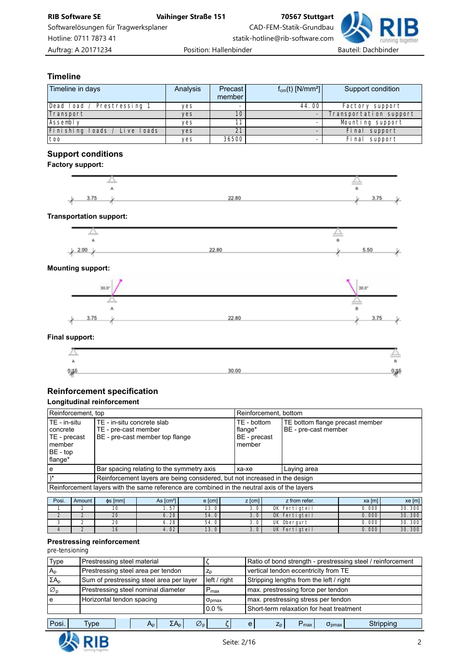

## **Timeline**

| Timeline in days             | Analysis | Precast<br>member | $f_{cm}(t)$ [N/mm <sup>2</sup> ] | Support condition      |
|------------------------------|----------|-------------------|----------------------------------|------------------------|
| Dead load / Prestressing 1   | yes      |                   | 44.00                            | Factory support        |
| Transport                    | yes      | 10                |                                  | Transportation support |
| Assembly                     | yes      | 11                |                                  | Mounting support       |
| Finishing loads / Live loads | yes      | 21                |                                  | Final support          |
| too                          | yes      | 36500             |                                  | Final support          |

# **Support conditions**

#### **Factory support:**



#### **Transportation support:**



#### **Mounting support:**



#### **Final support:**

| والزمومية |       | ------ |
|-----------|-------|--------|
|           |       | $\sim$ |
| ر 0       | 30.00 | 脚      |
|           |       |        |

# **Reinforcement specification**

# **Longitudinal reinforcement**

| Reinforcement, top                                                            |                                                                                             | Reinforcement, bottom                            |                                                         |  |  |
|-------------------------------------------------------------------------------|---------------------------------------------------------------------------------------------|--------------------------------------------------|---------------------------------------------------------|--|--|
| TE - in-situ<br>  concrete<br>TE - precast<br>l member<br>BE - top<br>flange* | l TE - in-situ concrete slab<br>TE - pre-cast member<br>BE - pre-cast member top flange     | TE - bottom<br>flange*<br>BE - precast<br>member | TE bottom flange precast member<br>BE - pre-cast member |  |  |
| e                                                                             | Bar spacing relating to the symmetry axis                                                   | xa-xe                                            | Laying area                                             |  |  |
|                                                                               | Reinforcement layers are being considered, but not increased in the design                  |                                                  |                                                         |  |  |
|                                                                               | Reinforcement layers with the same reference are combined in the neutral axis of the layers |                                                  |                                                         |  |  |

| Posi. | Amount | $\phi$ s [mm] | As $\text{Icm}^2$ | e [cm] | $z$ [cm] | z from refer. | xa [m] | $xe$ [m] |
|-------|--------|---------------|-------------------|--------|----------|---------------|--------|----------|
|       |        |               | . . 57            | 13.0   | J.U      | OK Fertigteil | 0.000  | 30.300   |
|       |        | 20            | 6.28              | 54.0   |          | OK Fertigteil | 0.000  | 30.300   |
|       |        | 20            | 6.28              | 54.0   |          | UK Obergurt   | 0.000  | 30.300   |
|       |        | I O           | 4.02              | 13.0   |          | UK Fertigteil | 0.000  | 30.300   |

#### **Prestressing reinforcement**

#### *pre-tensioning*

| Type                       | Prestressing steel material                                   |                        | Ratio of bond strength - prestressing steel / reinforcement             |  |  |  |
|----------------------------|---------------------------------------------------------------|------------------------|-------------------------------------------------------------------------|--|--|--|
| $A_{\text{D}}$             | Prestressing steel area per tendon                            | $Z_{p}$                | vertical tendon eccentricity from TE                                    |  |  |  |
| $\Sigma A_{D}$             | Sum of prestressing steel area per layer                      | left / right           | Stripping lengths from the left / right                                 |  |  |  |
| $\varnothing$ <sub>D</sub> | Prestressing steel nominal diameter                           | $P_{\text{max}}$       | max. prestressing force per tendon                                      |  |  |  |
| e                          | Horizontal tendon spacing                                     | $\sigma_{\text{bmax}}$ | max. prestressing stress per tendon                                     |  |  |  |
|                            |                                                               | $0.0\%$                | Short-term relaxation for heat treatment                                |  |  |  |
| Posi.                      | $\varnothing$ <sub>n</sub><br>Type<br>ΣA <sub>n</sub> Ι<br>An |                        | Stripping<br>e<br>$Z_{p}$<br>$\sigma_{\text{bmax}}$<br>$P_{\text{max}}$ |  |  |  |

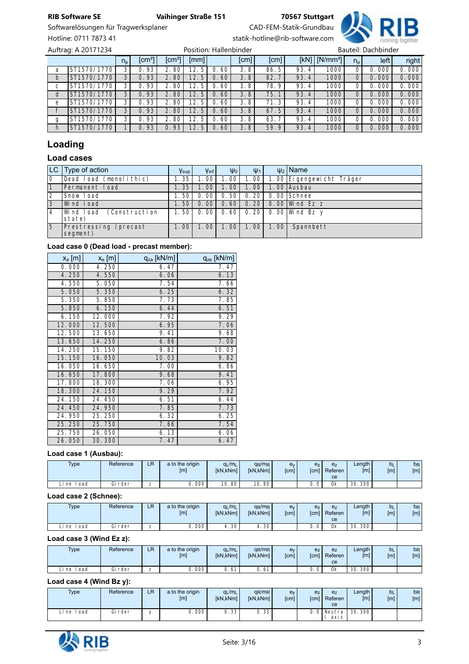# Softwarelösungen für Tragwerksplaner CAD-FEM-Statik-Grundbau

Hotline: 0711 7873 41 statik-hotline@rib-software.com



np [cm²] [cm²] [mm] [cm] [cm] [kN] [N/mm²] np left right a ST1570/1770 3 0.93 2.80 12.5 0.60 3.8 86.5 93.4 1000 0 0.000 0.000 b ST1570/1770 3 0.93 2.80 12.5 0.60 3.8 82.7 93.4 1000 0 0.000 0.000 c ST1570/1770 3 0.93 2.80 12.5 0.60 3.8 78.9 93.4 1000 0 0.000 0.000<br>d ST1570/1770 3 0.93 2.80 12.5 0.60 3.8 75.1 93.4 1000 0 0.000 0.000 d ST1570/1770 3 0.93 2.80 12.5 0.60 3.8 75.1 93.4 1000 0 0.000 0.000 e ST1570/1770 3 0.93 2.80 12.5 0.60 3.8 71.3 93.4 1000 0 0.000 0.000<br>f ST1570/1770 3 0.93 2.80 12.5 0.60 3.8 67.5 93.4 1000 0 0.000 0.000 f ST1570/1770 3 0.93 2.80 12.5 0.60 3.8 67.5 93.4 1000 0 0.000 0.000 g ST1570/1770 3 0.93 2.80 12.5 0.60 3.8 63.7 93.4 1000 0 0.000 0.000<br>h ST1570/1770 1 0.93 0.93 12.5 0.60 3.8 59.9 93.4 1000 0 0.000 0.000  $\overline{h}$  ST1570/1770 1 0.93 0.93 12.5 0.60 Auftrag: A 20171234 **Position: Hallenbinder** Position: Hallenbinder

# **Loading**

# **Load cases**

|             | $ LC $ Type of action                 | $Y_{\text{sup}}$ | Yinf                     | $\Psi_0$ | $\Psi_1$      |      | $\psi_2$ Name             |
|-------------|---------------------------------------|------------------|--------------------------|----------|---------------|------|---------------------------|
| 10          | Dead Ioad (monolithic)                | 1.35             | $\cdot$ . 00 $^{\prime}$ | 1. 00    | 1.00          |      | 1.00 Ei gengewicht Träger |
|             | Permanent Load                        | 1.35             | I. OO I                  | 1.001    | 1.00          |      | 1.00 Ausbau               |
| 2           | Snow Load                             | 1.501            | 0.001                    |          | $0.50$   0.20 |      | 0.00 Schnee               |
| 3           | Wind Load                             | 1.501            | 0.001                    |          |               |      | 0.60 0.20 0.00 Wind Ez z  |
| 4           | (Construction<br>lWind load<br>state) | 1.501            | 0.001                    |          |               |      | 0.60 0.20 0.00 Wind Bz y  |
| $5^{\circ}$ | Prestressing (precast<br>segment)     | 1.001            | 1.001                    | 1.001    | 1.00          | 1.00 | Spannbett                 |

#### **Load case 0 (Dead load - precast member):**

| $x_a$ [m] | $x_e$ [m] | qza [kN/m] | qze [kN/m] |
|-----------|-----------|------------|------------|
| 0.000     | 4.250     | 6.47       | 7.47       |
| 4.250     | 4.550     | 6.06       | 6.13       |
| 4.550     | 5.050     | 7.54       | 7.66       |
| 5.050     | 5.350     | 6.25       | 6.32       |
| 5.350     | 5.850     | 7.73       | 7.85       |
| 5.850     | 6.150     | 6.44       | 6.51       |
| 6.150     | 12.000    | 7.92       | 9.29       |
| 12.000    | 12.500    | 6.95       | 7.06       |
| 12.500    | 13.650    | 9.41       | 9.68       |
| 13.650    | 14.250    | 6.86       | 7.00       |
| 14.250    | 15.150    | 9.82       | 10.03      |
| 15.150    | 16.050    | 10.03      | 9.82       |
| 16.050    | 16.650    | 7.00       | 6.86       |
| 16.650    | 17.800    | 9.68       | 9.41       |
| 17.800    | 18.300    | 7.06       | 6.95       |
| 18.300    | 24.150    | 9.29       | 7.92       |
| 24.150    | 24.450    | 6.51       | 6.44       |
| 24.450    | 24.950    | 7.85       | 7.73       |
| 24.950    | 25.250    | 6.32       | 6.25       |
| 25.250    | 25.750    | 7.66       | 7.54       |
| 25.750    | 26.050    | 6.13       | 6.06       |
| 26.050    | 30.300    | 7.47       | 6.47       |

### **Load case 1 (Ausbau):**

| <b>Type</b> | Reference        | D.<br>LR | a to the origin<br>[m] | $q_L/m_L$<br><b>IkN.kNml</b> | $q_R/m_R$<br><b>IKN.KNml</b> | e <sub>y</sub><br>[cm] | e <sub>z</sub><br>[cm] | e <sub>z</sub><br>Referen<br>ce | Length<br>[m] | b <sub>L</sub><br>[m] | b <sub>R</sub><br>[ <sub>m</sub> ] |
|-------------|------------------|----------|------------------------|------------------------------|------------------------------|------------------------|------------------------|---------------------------------|---------------|-----------------------|------------------------------------|
| oad<br>i ne | ∼:<br>rder<br>ыı | -<br>_   | ا 000 ، ن              | 10.<br>80                    | 10.80                        |                        | $\mathbf{u}$           | 0k                              | 30.300        |                       |                                    |

#### **Load case 2 (Schnee):**

| <b>Type</b>  | Reference | LR     | a to the origin<br>[m] | $q_L/m_L$<br><b>IkN.kNml</b> | $q_R/m_R$<br><b>IkN.kNml</b> | e <sub>v</sub><br><b>f</b> cml | e <sub>Z</sub><br><b>Scm1</b> | e <sub>z</sub><br>Referen<br>ce | Length<br>$\lceil m \rceil$ | <b>b</b> L<br>[ <sub>m</sub> ] | <b>b<sub>R</sub></b><br>[ <sub>m</sub> ] |
|--------------|-----------|--------|------------------------|------------------------------|------------------------------|--------------------------------|-------------------------------|---------------------------------|-----------------------------|--------------------------------|------------------------------------------|
| oad<br>Li ne | Gi rder   | -<br>- | .000                   | 30 '<br>д.                   | .30 <sup>1</sup>             |                                | $\Omega$<br>ັ                 | 0k                              | 300 <sub>1</sub><br>30.     |                                |                                          |

#### **Load case 3 (Wind Ez z):**

| <b>Type</b>  | Reference | LR                            | a to the origin<br>[m] | $q_L/m_L$<br>[kN,kNm] | $q_R/m_R$<br><b>IkN.kNml</b> | ev<br><b>f</b> cml | e <sub>z</sub><br><b>f</b> cm | e <sub>z</sub><br>Referen<br>ce | Length  <br>[ml] | b <sub>L</sub><br>[m] | b <sub>R</sub><br>[m] |
|--------------|-----------|-------------------------------|------------------------|-----------------------|------------------------------|--------------------|-------------------------------|---------------------------------|------------------|-----------------------|-----------------------|
| oad<br>Li ne | Gi rder   | $\overline{\phantom{a}}$<br>_ | 000                    | ำ<br>ັບ               | <sup>6</sup>                 |                    | 0 <sup>1</sup><br>U.          | 0 <sub>k</sub>                  | 300<br>30        |                       |                       |

#### **Load case 4 (Wind Bz y):**

| <b>Type</b>     | Reference | LR | a to the origin<br>[m] | $q_L/m_L$<br>[kN,kNm] | $q_R/m_R$<br>[kN,kNm] | ev<br>[cm] | e <sub>z</sub><br>[cm] | e <sub>z</sub><br>Referen<br>ce | $L$ ength<br>[m] | <b>b</b> L<br>[m] | b <sub>R</sub><br>[m] |
|-----------------|-----------|----|------------------------|-----------------------|-----------------------|------------|------------------------|---------------------------------|------------------|-------------------|-----------------------|
| l oad<br>i ne i | Gi rder   |    | J. 000 <sup>J</sup>    | 0.33                  | 0.33                  |            |                        | Neutra<br>axi s                 | 30.300           |                   |                       |

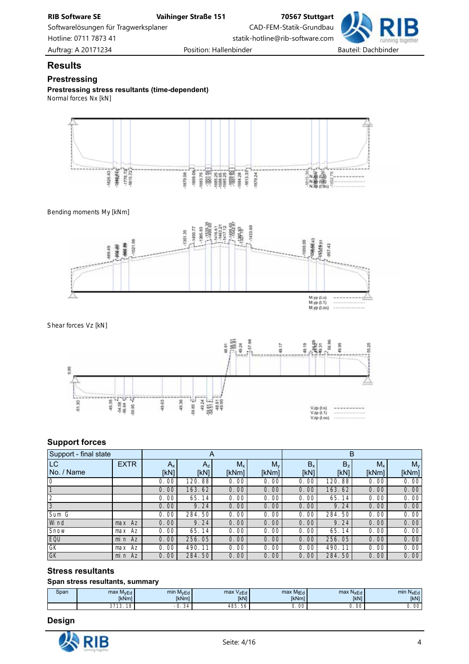Softwarelösungen für Tragwerksplaner CAD-FEM-Statik-Grundbau Hotline: 0711 7873 41 statik-hotline@rib-software.com



**Results**

### **Prestressing**

**Prestressing stress resultants (time-dependent)** *Normal forces Nx [kN]*



*Bending moments My [kNm]*



*Shear forces Vz [kN]*



### **Support forces**

| Support - final state |             | A       |        |         |         | B              |                          |         |         |  |
|-----------------------|-------------|---------|--------|---------|---------|----------------|--------------------------|---------|---------|--|
| LC                    | <b>EXTR</b> | $A_{x}$ | $A_z$  | $M_{x}$ | $M_{v}$ | B <sub>x</sub> | B <sub>z</sub>           | $M_{x}$ | $M_{v}$ |  |
| No. / Name            |             | [kN]    | [kN]   | [kNm]   | [kNm]   | [kN]           | [kN]                     | [kNm]   | [kNm]   |  |
| $\Omega$              |             | 0.00    | 120.88 | 0.00    | 0.00    | 0.00           | .88 <sub>1</sub><br>120. | 0.00    | 0.00    |  |
|                       |             | 0.00    | 163.62 | 0.00    | 0.00    | 0.00           | 163.62                   | 0.00    | 0.00    |  |
|                       |             | 0.00    | 65.14  | 0.00    | 0.00    | 0.00           | 65.14                    | 0.00    | 0.00    |  |
| 3                     |             | 0.00    | 9.24   | 0.00    | 0.00    | 0.00           | 9.24                     | 0.00    | 0.00    |  |
| Sum G                 |             | 0.00    | 284.50 | 0.00    | 0.00    | 0.00           | 284.50                   | 0.00    | 0.00    |  |
| Wi nd                 | Az<br>max   | 0.00    | 9.24   | 0.00    | 0.00    | 0.00           | 9.24                     | 0.00    | 0.00    |  |
| Snow                  | max Az      | 0.00    | 65.14  | 0.00    | 0.00    | 0.00           | 65.14                    | 0.00    | 0.00    |  |
| EQU                   | $min$ Az    | 0.00    | 256.05 | 0.00    | 0.00    | 0.00           | 256.05                   | 0.00    | 0.00    |  |
| GK                    | max Az      | 0.00    | 490.11 | 0.00    | 0.00    | 0.00           | 490.<br>-11              | 0.00    | 0.00    |  |
| GK                    | min Az      | 0.00    | 284.50 | 0.00    | 0.00    | 0.00           | 284.50                   | 0.00    | 0.00    |  |

### **Stress resultants**

#### **Span stress resultants, summary**

| Span | max M <sub>vEd</sub>     | min M <sub>vEd</sub>         | max V <sub>zEd</sub> | max MtEd     | max<br>NxEd | min N <sub>xEd</sub> |
|------|--------------------------|------------------------------|----------------------|--------------|-------------|----------------------|
|      | <b>IkNml</b>             | <b>IkNml</b>                 | <b>[kN]</b>          | <b>IkNml</b> | <b>IkN1</b> | <b>IkN1</b>          |
|      | 0720<br>$\sim$<br>⊻<br>ັ | $\sim$<br>. 34<br>- 1<br>ັບ. | 485.<br>56           | 0. 00        | 00          | $\cap$<br>- UU       |

### **Design**

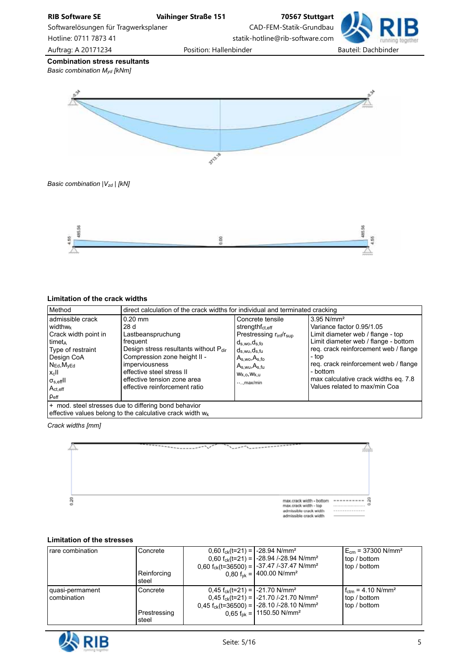



### **Limitation of the crack widths**

| Method                                                                                                                                                                                                                           | direct calculation of the crack widths for individual and terminated cracking                                                                                                                                                             |                                                                                                                                                                                                                                        |                                                                                                                                                                                                                                                                                                                  |  |  |  |  |  |
|----------------------------------------------------------------------------------------------------------------------------------------------------------------------------------------------------------------------------------|-------------------------------------------------------------------------------------------------------------------------------------------------------------------------------------------------------------------------------------------|----------------------------------------------------------------------------------------------------------------------------------------------------------------------------------------------------------------------------------------|------------------------------------------------------------------------------------------------------------------------------------------------------------------------------------------------------------------------------------------------------------------------------------------------------------------|--|--|--|--|--|
| admissible crack<br><b>widthwk</b><br>Crack width point in<br>timet <sub>A</sub><br>Type of restraint<br>Design CoA<br>$N_{Ed}$ , $M_{VEd}$<br>$x_c$ II<br>$\sigma_{\rm s,eff}$ ll<br>$A_{\text{ct.eff}}$<br>$\rho_{\text{eff}}$ | $0.20$ mm<br>28d<br>Lastbeanspruchung<br>frequent<br>Design stress resultants without Pdir<br>Compression zone height II -<br>imperviousness<br>effective steel stress II<br>effective tension zone area<br>effective reinforcement ratio | Concrete tensile<br>strengthf <sub>ct.eff</sub><br>Prestressing r <sub>inf</sub> /r <sub>sup</sub><br>$d_{s,wo}, d_{s,fo}$<br>$d_{s,wu},d_{s,fu}$<br>$A_{s,wo}$ , $A_{s,fo}$<br>$A_{s,wu}, A_{s,fu}$<br>$W_{k,0}, W_{k,u}$<br>,max/min | 3.95 N/mm <sup>2</sup><br>Variance factor 0.95/1.05<br>Limit diameter web / flange - top<br>Limit diameter web / flange - bottom<br>reg. crack reinforcement web / flange<br>- top<br>req. crack reinforcement web / flange<br>- bottom<br>max calculative crack widths eq. 7.8<br>Values related to max/min Coa |  |  |  |  |  |
| + mod. steel stresses due to differing bond behavior<br>effective values belong to the calculative crack width $w_k$                                                                                                             |                                                                                                                                                                                                                                           |                                                                                                                                                                                                                                        |                                                                                                                                                                                                                                                                                                                  |  |  |  |  |  |

*Crack widths [mm]*



#### **Limitation of the stresses**

| rare combination | Concrete     | 0,60 f <sub>ck</sub> (t=21) = $\vert$ -28.94 N/mm <sup>2</sup> |                                                              | $E_{cm}$ = 37300 N/mm <sup>2</sup>     |
|------------------|--------------|----------------------------------------------------------------|--------------------------------------------------------------|----------------------------------------|
|                  |              |                                                                | $0,60 f_{ck}(t=21) = -28.94$ /-28.94 N/mm <sup>2</sup>       | top / bottom                           |
|                  |              |                                                                | 0,60 $f_{ck}$ (t=36500) =   -37.47 /-37.47 N/mm <sup>2</sup> | top / bottom                           |
|                  | Reinforcing  |                                                                | 0,80 $f_{\text{vk}} = 400.00 \text{ N/mm}^2$                 |                                        |
|                  | steel        |                                                                |                                                              |                                        |
| quasi-permament  | Concrete     | $0,45 f_{ck}(t=21) =  -21.70 \text{ N/mm}^2$                   |                                                              | $f_{\text{ctm}} = 4.10 \text{ N/mm}^2$ |
| combination      |              |                                                                | 0,45 $f_{ck}$ (t=21) =   -21.70 /-21.70 N/mm <sup>2</sup>    | top / bottom                           |
|                  |              |                                                                | $0,45 f_{ck}(t=36500) = -28.10$ /-28.10 N/mm <sup>2</sup>    | top / bottom                           |
|                  | Prestressing |                                                                | 0,65 $f_{\rm pk} = 1150.50$ N/mm <sup>2</sup>                |                                        |
|                  | steel        |                                                                |                                                              |                                        |

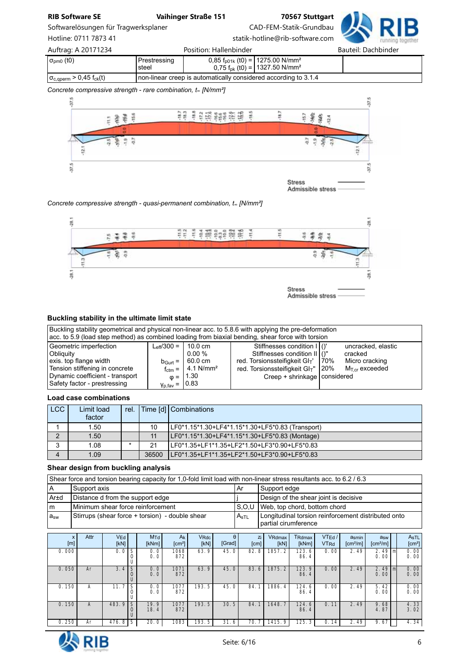Softwarelösungen für Tragwerksplaner CAD-FEM-Statik-Grundbau



Hotline: 0711 7873 41 statik-hotline@rib-software.com

| Auftrag: A 20171234                                |                         | Position: Hallenbinder                                            |                                                                                                        | Bauteil: Dachbinder |
|----------------------------------------------------|-------------------------|-------------------------------------------------------------------|--------------------------------------------------------------------------------------------------------|---------------------|
| $\sigma_{\text{pm0}}$ (t0)                         | Prestressing<br>l steel |                                                                   | 0,85 $f_{p01k}$ (t0) = 1275.00 N/mm <sup>2</sup><br>0,75 $f_{\rm pk}$ (t0) = 1327.50 N/mm <sup>2</sup> |                     |
| $\sigma_{\rm c, qperm}$ > 0,45 f <sub>ck</sub> (t) |                         | I non-linear creep is automatically considered according to 3.1.4 |                                                                                                        |                     |

#### *Concrete compressive strength - rare combination, t<sup>∞</sup> [N/mm²]*



Admissible stress

#### *Concrete compressive strength - quasi-permanent combination, t<sup>∞</sup> [N/mm²]*



### **Buckling stability in the ultimate limit state**

| Buckling stability geometrical and physical non-linear acc. to 5.8.6 with applying the pre-deformation<br>acc. to 5.9 (load step method) as combined loading from biaxial bending, shear force with torsion |                                                                                |                                                                                                                   |                                                                                                                                                                                      |      |                                                                    |  |  |
|-------------------------------------------------------------------------------------------------------------------------------------------------------------------------------------------------------------|--------------------------------------------------------------------------------|-------------------------------------------------------------------------------------------------------------------|--------------------------------------------------------------------------------------------------------------------------------------------------------------------------------------|------|--------------------------------------------------------------------|--|--|
| Geometric imperfection<br>Obliquity<br>exis, top flange width<br>Tension stiffening in concrete<br>Dynamic coefficient - transport<br>Safety factor - prestressing                                          | $L_{\text{eff}}/300 = 110.0 \text{ cm}$<br>$\gamma_{\rm p,fav} =  0.83\rangle$ | $0.00\%$<br>$b_{\text{Gurt}} =   60.0 \text{ cm}  $<br>$f_{\text{ctm}} = 4.1 \text{ N/mm}^2$<br>$\omega =  1.30 $ | Stiffnesses condition I   ()'<br>Stiffnesses condition II ()"<br>red. Torsionssteifigkeit GI <sub>T</sub> '<br>red. Torsionssteifigkeit GIT"   20%<br>Creep + shrinkage   considered | 170% | uncracked, elastic<br>cracked<br>Micro cracking<br>$MTcr$ exceeded |  |  |

#### **Load case combinations**

| LCC    | Limit load | rel. |       | Time [d] Combinations                            |
|--------|------------|------|-------|--------------------------------------------------|
|        | factor     |      |       |                                                  |
|        | 1.50       |      | 10    | LF0*1.15*1.30+LF4*1.15*1.30+LF5*0.83 (Transport) |
| ◠      | 1.50       |      | 11    | LF0*1.15*1.30+LF4*1.15*1.30+LF5*0.83 (Montage)   |
| c<br>د | 1.08       |      | 21    | LF0*1.35+LF1*1.35+LF2*1.50+LF3*0.90+LF5*0.83     |
|        | 1.09       |      | 36500 | LF0*1.35+LF1*1.35+LF2*1.50+LF3*0.90+LF5*0.83     |

#### **Shear design from buckling analysis**

Shear force and torsion bearing capacity for 1,0-fold limit load with non-linear stress resultants acc. to 6.2 / 6.3

|          | Support axis_                                   | . Ar             | Support edge                                                                |
|----------|-------------------------------------------------|------------------|-----------------------------------------------------------------------------|
| Ar±d     | Distance d from the support edge                |                  | Design of the shear joint is decisive                                       |
| m        | l Minimum shear force reinforcement             |                  | S.O.U   Web, top chord, bottom chord                                        |
| $a_{sw}$ | Stirrups (shear force + torsion) - double shear | A <sub>sTL</sub> | Longitudinal torsion reinforcement distributed onto<br>partial cirumference |

| X<br>[m] | Attr | V <sub>Ed</sub><br>[kN] |        | M <sub>Td</sub><br>[kNm] | $A_k$<br>$\text{[cm}^2$ | VRdc<br>[kN] | $\theta$<br>[Grad] | Zi.<br>[cm]           | VRdmax<br>[kN]          | TRdmax<br>[kNm] | VTEd/<br><b>VTRd</b>   | asmin<br>$\text{[cm}^2/\text{m}$ | a <sub>sw</sub><br>$\lceil$ cm <sup>2</sup> /m $\rceil$ | AsTL<br>[cm <sup>2</sup> ] |
|----------|------|-------------------------|--------|--------------------------|-------------------------|--------------|--------------------|-----------------------|-------------------------|-----------------|------------------------|----------------------------------|---------------------------------------------------------|----------------------------|
| 0.000    |      | 0.0                     |        | 0.01<br>0.0              | 1068<br>872             | 63.9         | 45.0               | 82.<br>. 8            | 1857.2                  | 123.6<br>86.4   | 0.00                   | 2.49                             | $2.49$ m<br>0.00                                        | 0.00<br>0.00               |
| 0.050    | Ar   | 3.4                     | S      | 0.0<br>0.0               | 1071<br>872             | 63.9         | 45.0               | 83.6                  | 1875.2                  | 123.9<br>86.4   | 0.00                   | 2.49                             | $2.49$   m<br>0.00                                      | 0.00<br>0.00               |
| 0.150    | A    | 11.7                    | S      | 0.0<br>0.0               | 1077<br>872             | 193.5        | 45.0               | 84.                   | 1886.4                  | 124.6<br>86.4   | 0.00                   | 2.49                             | 5.42<br>0.00                                            | 0.00<br>0.00               |
| 0.150    | A    | 483.9                   | S<br>U | 19.9<br>18.4             | 1077<br>872             | 193.5        | 30.5               | 84.                   | $\overline{7}$<br>1648. | 124.6<br>86.4   | $\overline{0}$ .<br>11 | 2.49                             | 9.68<br>4.87                                            | 4.33<br>3.02               |
| 0.250    | Ar   | 476.8                   | S      | 20.0                     | 1083                    | 193.5        | 31.6               | $\overline{7}$<br>70. | 1415.9                  | 125.3           | 14<br>0.               | 2.49                             | 9.67                                                    | 4.34                       |



1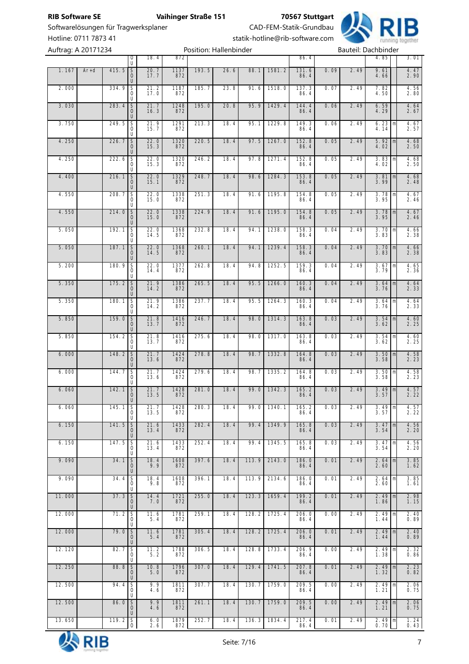Softwarelösungen für Tragwerksplaner CAD-FEM-Statik-Grundbau

**RIB Software SE Vaihinger Straße 151 70567 Stuttgart**



Auftrag: A 20171234 **Position: Hallenbinder** Postion: Hallenbinder

Hotline: 0711 7873 41 statik-hotline@rib-software.com

|        |        |        | 0                                 | 18. 4        | 872         |       |      |       |               | 86.4          |      |      | 4.85                       |   | 3.01                |
|--------|--------|--------|-----------------------------------|--------------|-------------|-------|------|-------|---------------|---------------|------|------|----------------------------|---|---------------------|
| 1.167  | $Ar+d$ | 415.5  | U<br>$\mathsf S$<br>0<br>U        | 20.7<br>17.7 | 1137<br>872 | 193.5 | 26.6 | 88.1  | 1581.2        | 131.6<br>86.4 | 0.09 | 2.49 | 9.61<br>4.66               |   | 4.47<br>2.90        |
| 2.000  |        | 334.9  | S<br>0<br>U                       | 21.2<br>17.0 | 1187<br>872 | 185.7 | 23.8 | 91.6  | 1518.0        | 137.3<br>86.4 | 0.07 | 2.49 | 7.82<br>4.50               |   | 4.56<br>2.80        |
| 3.030  |        | 283.4  | $\mathsf S$<br>0<br>U             | 21.7<br>16.3 | 1248<br>872 | 195.0 | 20.8 | 95.9  | 1429.4        | 144.4<br>86.4 | 0.06 | 2.49 | 6.59<br>4.29               |   | 4.64<br>2.67        |
| 3.750  |        | 249.5  | S<br>0<br>U                       | 21.9<br>15.7 | 1291<br>872 | 213.3 | 18.4 | 95.1  | 1229.8        | 149.3<br>86.4 | 0.06 | 2.49 | 6.23<br>4.14               | m | 4.67<br>2.57        |
| 4.250  |        | 226.7  | S<br>0<br>U                       | 22.0<br>15.3 | 1320<br>872 | 220.5 | 18.4 | 97.5  | 1267.0        | 152.8<br>86.4 | 0.05 | 2.49 | 5.92<br>4.02               | m | 4.68<br>2.50        |
| 4.250  |        | 222.6  | S<br>0<br>U                       | 22.0<br>15.3 | 1320<br>872 | 246.2 | 18.4 | 97.8  | 1271.4        | 152.8<br>86.4 | 0.05 | 2.49 | 3.83<br>4.02               | m | 4.68<br>2.50        |
| 4.400  |        | 216.1  | $\mathsf S$<br>0<br>U             | 22.0<br>15.1 | 1329<br>872 | 248.7 | 18.4 | 98.6  | 1284.3        | 153.8<br>86.4 | 0.05 | 2.49 | 3.81<br>3.99               | m | 4.68<br>2.48        |
| 4.550  |        | 208.7  | S<br>0<br>U                       | 22.0<br>15.0 | 1338<br>872 | 251.3 | 18.4 | 91.6  | 1195.8        | 154.8<br>86.4 | 0.05 | 2.49 | 3.78<br>3.95               | m | 4.67<br>2.46        |
| 4.550  |        | 214.0  | $\mathsf S$<br>0<br>U             | 22.0<br>15.0 | 1338<br>872 | 224.9 | 18.4 | 91.6  | 1195.0        | 154.8<br>86.4 | 0.05 | 2.49 | 3.78<br>3.95               | m | 4.67<br>2.46        |
| 5.050  |        | 192.1  | S<br>0<br>U                       | 22.0<br>14.5 | 1368<br>872 | 232.8 | 18.4 | 94.1  | 1238.0        | 158.3<br>86.4 | 0.04 | 2.49 | 3.70<br>3.83               | m | 4.66<br>2.38        |
| 5.050  |        | 187.1  | $\mathsf S$<br>0<br>U             | 22.0<br>14.5 | 1368<br>872 | 260.1 | 18.4 | 94.1  | 1239.4        | 158.3<br>86.4 | 0.04 | 2.49 | 3.70<br>3.83               | m | 4.66<br>2.38        |
| 5.200  |        | 180.9  | S<br>0<br>U                       | 22.0<br>14.4 | 1377<br>872 | 262.8 | 18.4 | 94.8  | 1252.5        | 159.3<br>86.4 | 0.04 | 2.49 | 3.67<br>3.79               | m | 4.65<br>2.36        |
| 5.350  |        | 175.2  | S<br>0<br>U                       | 21.9<br>14.2 | 1386<br>872 | 265.5 | 18.4 | 95.5  | 1266.0        | 160.3<br>86.4 | 0.04 | 2.49 | 3.64<br>3.76               | m | 4.64<br>2.33        |
| 5.350  |        | 180.1  | S<br>0<br>U                       | 21.9<br>14.2 | 1386<br>872 | 237.7 | 18.4 | 95.5  | 1264.3        | 160.3<br>86.4 | 0.04 | 2.49 | 3.64<br>3.76               | m | 4.64<br>2.33        |
| 5.850  |        | 159.0  | $\mathsf S$<br>0<br>U             | 21.8<br>13.7 | 1416<br>872 | 246.7 | 18.4 | 98.0  | 1314.3        | 163.8<br>86.4 | 0.03 | 2.49 | 3.54<br>3.62               | m | 4.60<br>2.25        |
| 5.850  |        | 154.2  | S<br>0<br>U                       | 21.8<br>13.7 | 1416<br>872 | 275.6 | 18.4 | 98.0  | 1317.0        | 163.8<br>86.4 | 0.03 | 2.49 | 3.54<br>3.62               | m | 4.60<br>2.25        |
| 6.000  |        | 148.2  | $\overline{S}$<br>0<br>U          | 21.7<br>13.6 | 1424<br>872 | 278.8 | 18.4 | 98.7  | 1332.8        | 164.8<br>86.4 | 0.03 | 2.49 | 3.50<br>3.58               | m | $4.58$<br>2.23      |
| 6.000  |        | 144.7  | S<br>0<br>U                       | 21.7<br>13.6 | 1424<br>872 | 279.6 | 18.4 | 98.7  | 1335.2        | 164.8<br>86.4 | 0.03 | 2.49 | 3.50<br>3.58               | m | 4.58<br>2.23        |
| 6.060  |        | 142.1  | $\mathsf S$<br>0<br>U             | 21.7<br>13.5 | 1428<br>872 | 281.0 | 18.4 | 99.0  | 1342.3        | 165.2<br>86.4 | 0.03 | 2.49 | 3.49<br>3.57               | m | $\frac{4.57}{2.22}$ |
| 6.060  |        | 145.1S | 0<br>U                            | 21.7<br>13.5 | 1428<br>872 | 280.3 | 18.4 |       | $99.0$ 1340.1 | 165.2<br>86.4 | 0.03 | 2.49 | $349$ m<br>3.57            |   | 4.57<br>2.22        |
| 6.150  |        | 141.5  | $\mathsf S$<br>0<br>U             | 21.6<br>13.4 | 1433<br>872 | 282.4 | 18.4 | 99.4  | 1349.9        | 165.8<br>86.4 | 0.03 | 2.49 | 3.47<br>3.54               | m | 4.56<br>2.20        |
| 6.150  |        | 147.5  | S<br>0<br>U                       | 21.6<br>13.4 | 1433<br>872 | 252.4 | 18.4 | 99.4  | 1345.5        | 165.8<br>86.4 | 0.03 | 2.49 | 3.47<br>3.54               | m | 4.56<br>2.20        |
| 9.090  |        | 34.1   | $\overline{\mathsf{S}}$<br>0<br>U | 18.4<br>9.9  | 1608<br>872 | 397.6 | 18.4 | 113.9 | 2143.0        | 186.0<br>86.4 | 0.01 | 2.49 | 2.64<br>2.60               | m | 3.85<br>1.62        |
| 9.090  |        | 34.4   | S<br>0<br>U                       | 18.4<br>9.8  | 1608<br>872 | 396.1 | 18.4 | 113.9 | 2134.6        | 186.0<br>86.4 | 0.01 | 2.49 | 2.64<br>2.60               | m | 3.85<br>1.61        |
| 11.000 |        | 37.3   | $\mathsf S$<br>0<br>U             | 14.4<br>7.0  | 1721<br>872 | 255.0 | 18.4 | 123.3 | 1659.4        | 199.2<br>86.4 | 0.01 | 2.49 | $2.49 \, \text{m}$<br>1.86 |   | 2.98<br>1.15        |
| 12.000 |        | 71.2   | S<br>0<br>U                       | 11.6<br>5.4  | 1781<br>872 | 259.1 | 18.4 | 128.2 | 1725.4        | 206.0<br>86.4 | 0.00 | 2.49 | $2.49 \, m$<br>1.44        |   | 2.40<br>0.89        |
| 12.000 |        | 79.0   | $\overline{\mathsf{S}}$<br>0<br>U | 11.6<br>5.4  | 1781<br>872 | 305.4 | 18.4 | 128.2 | 1725.4        | 206.0<br>86.4 | 0.01 | 2.49 | 2.49<br>1.44               | m | 2.40<br>0.89        |
| 12.120 |        | 82.7   | S<br>0<br>U                       | 11.2<br>5.2  | 1788<br>872 | 306.5 | 18.4 | 128.8 | 1733.4        | 206.9<br>86.4 | 0.00 | 2.49 | $2.49 \, m$<br>1.38        |   | 2.32<br>0.86        |
| 12.250 |        | 88.8   | $\mathsf S$<br>0<br>U             | 10.8<br>5.0  | 1796<br>872 | 307.0 | 18.4 | 129.4 | 1741.5        | 207.8<br>86.4 | 0.01 | 2.49 | $2.49 \, \text{m}$<br>1.32 |   | 2.23<br>0.82        |
| 12.500 |        | 94.4   | S<br>0<br>U                       | 9.9<br>4.6   | 1811<br>872 | 307.7 | 18.4 | 130.7 | 1759.0        | 209.5<br>86.4 | 0.00 | 2.49 | $2.49$ m<br>1.21           |   | 2.06<br>0.75        |
| 12.500 |        | 86.0   | $\mathsf S$<br>0<br>U             | 9.9<br>4.6   | 1811<br>872 | 261.1 | 18.4 | 130.7 | 1759.0        | 209.5<br>86.4 | 0.00 | 2.49 | 2.49<br>1.21               | m | 2.06<br>0.75        |
| 13.650 |        | 119.2  | $\overline{\mathsf{S}}$<br>0      | 6.0<br>2.6   | 1879<br>872 | 252.7 | 18.4 | 136.3 | 1834.4        | 217.4<br>86.4 | 0.01 | 2.49 | $2.49$ m<br>0.70           |   | 1.24<br>0.43        |

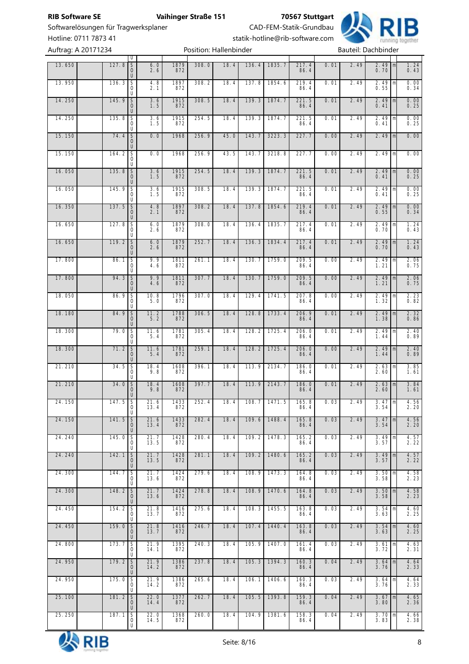Softwarelösungen für Tragwerksplaner CAD-FEM-Statik-Grundbau

**RIB Software SE Vaihinger Straße 151 70567 Stuttgart**



Hotline: 0711 7873 41<br>Auftrag: 0.20171224<br>Resition: Hallophinder Auftrag: A 20171234

|        | Auftrag: A 2017 1234 |                                                     |                                    |                    |             | Position: Hallenbinder |      |       |                |                      |      |      | Bautell: Dachbinder          |                           |
|--------|----------------------|-----------------------------------------------------|------------------------------------|--------------------|-------------|------------------------|------|-------|----------------|----------------------|------|------|------------------------------|---------------------------|
| 13.650 |                      | $\begin{array}{c c} 127.8 & S \\ 0 & 0 \end{array}$ | U<br>U                             | 6.0<br>2.6         | 1879<br>872 | 308.0                  | 18.4 | 136.4 | 1835.7         | $217.4$<br>86.4      | 0.01 | 2.49 | $2.49$ m<br>0.70             | 1.24<br>$0.\overline{43}$ |
| 13.950 |                      | 136.3                                               | $\frac{S}{0}$<br>U                 | 4.8<br>2.1         | 1897<br>872 | 308.2                  | 18.4 | 137.8 | 1854.6         | $219.4$<br>86.4      | 0.01 | 2.49 | 2.49<br>m<br>0.55            | 0.00<br>0.34              |
| 14.250 |                      | 145.9                                               | $\frac{S}{O}$<br>$\cup$            | $3.6$<br>$1.5$     | 1915<br>872 | 308.5                  | 18.4 | 139.3 | 1874.7         | 221.5<br>86.4        | 0.01 | 2.49 | $2.49$ m<br>0.41             | 0.00<br>0.25              |
| 14.250 |                      | 135.8                                               | $\overline{\mathsf{s}}$<br>0<br>U  | $\frac{3.6}{1.5}$  | 1915<br>872 | 254.5                  | 18.4 | 139.3 | 1874.7         | 221.5<br>86.4        | 0.01 | 2.49 | $2.49$ m<br>0.41             | 0.00<br>0.25              |
| 15.150 |                      | 74.4                                                | $rac{S}{0}$<br>U                   | 0.0                | 1968        | 256.9                  | 45.0 | 143.7 | 3223.3         | 227.7                | 0.00 | 2.49 | $2.49$ m                     | 0.00                      |
| 15.150 |                      | 164.2                                               | $rac{5}{0}$<br>U                   | 0.0                | 1968        | 256.9                  | 43.5 | 143.7 | 3218.8         | 227.7                | 0.00 | 2.49 | $2.49$ m                     | 0.00                      |
| 16.050 |                      | $\begin{array}{c c} 135.8 & S \\ 0 & 0 \end{array}$ | $\cup$                             | $3.6$<br>$1.5$     | 1915<br>872 | 254.5                  | 18.4 | 139.3 | 1874.7         | 221.5<br>86.4        | 0.01 | 2.49 | $2.49 \, m$<br>0.41          | 0.00<br>0.25              |
| 16.050 |                      | 145.9                                               | $\overline{\mathsf{s}}$<br>0<br>U  | $\frac{3.6}{1.5}$  | 1915<br>872 | 308.5                  | 18.4 | 139.3 | 1874.7         | 221.5<br>86.4        | 0.01 | 2.49 | $2.49$ m<br>0.41             | 0.00<br>0.25              |
| 16.350 |                      | 137.5                                               | $\frac{S}{O}$<br>U                 | $\frac{4.8}{2.1}$  | 1897<br>872 | 308.2                  | 18.4 | 137.8 | 1854.6         | $219.4$<br>86.4      | 0.01 | 2.49 | $2.49$ m<br>0.55             | 0.00<br>0.34              |
| 16.650 |                      | 127.8                                               | $rac{1}{6}$<br>U                   | 6.0<br>2.6         | 1879<br>872 | 308.0                  | 18.4 | 136.4 | 1835.7         | $\frac{217.4}{86.4}$ | 0.01 | 2.49 | 2.49<br>m<br>0.70            | $\frac{1.24}{0.43}$       |
| 16.650 |                      | 119.2                                               | $rac{S}{O}$<br>$\cup$              | 6.0<br>2.6         | 1879<br>872 | 252.7                  | 18.4 | 136.3 | 1834.4         | 217.4<br>86.4        | 0.01 | 2.49 | $2.49$ m<br>0.70             | 1.24<br>$0.\overline{4}3$ |
| 17.800 |                      | 86.1                                                | $\overline{\mathsf{s}}$<br>0<br>U  | 9.9<br>4.6         | 1811<br>872 | 261.1                  | 18.4 | 130.7 | 1759.0         | 209.5<br>86.4        | 0.00 | 2.49 | $2.49 \, m$<br>1.21          | 2.06<br>0.75              |
| 17.800 |                      | 94.3                                                | $rac{S}{O}$<br>U                   | $9.9$<br>$4.6$     | 1811<br>872 | 307.7                  | 18.4 | 130.7 | 1759.0         | 209.5<br>86.4        | 0.00 | 2.49 | $2.49$ m<br>1.21             | 2.06<br>0.75              |
| 18.050 |                      | 86.9                                                | $rac{S}{0}$<br>U                   | $\frac{10.8}{5.0}$ | 1796<br>872 | 307.0                  | 18.4 | 129.4 | 1741.5         | 207.8<br>86.4        | 0.00 | 2.49 | 2.49<br>m<br>1.32            | $\frac{2.23}{0.82}$       |
| 18.180 |                      | 84.9                                                | $rac{S}{0}$<br>U                   | $\frac{11.2}{5.2}$ | 1788<br>872 | 306.5                  | 18.4 | 128.8 | 1733.4         | 206.9<br>86.4        | 0.01 | 2.49 | $2.49$ m<br>$\frac{1}{1}$ 38 | 2.32<br>0.86              |
| 18.300 |                      | 79.0                                                | $\overline{\mathsf{s}}$<br>0<br>U  | 11.6<br>5.4        | 1781<br>872 | 305.4                  | 18.4 | 128.2 | 1725.4         | 206.0<br>86.4        | 0.01 | 2.49 | $2.49$ m<br>1.44             | 2.40<br>0.89              |
| 18.300 |                      | 71.2 S                                              | $\overline{0}$<br>U                | 11.6<br>5.4        | 1781<br>872 | 259.1                  | 18.4 | 128.2 | 1725.4         | 206.0<br>86.4        | 0.00 | 2.49 | $2.49 \text{ m}$<br>1.44     | 2.40<br>0.89              |
| 21.210 |                      | 34.5                                                | $\overline{\mathsf{S}}$<br>0<br>U  | 18.4<br>9.8        | 1608<br>872 | 396.1                  | 18.4 | 113.9 | 2134.7         | 186.0<br>86.4        | 0.01 | 2.49 | $2.63 \, m$<br>2.60          | 3.85<br>1.61              |
| 21.210 |                      | $34.0$ S                                            | 0<br>$\sf U$                       | $\frac{18.4}{9.8}$ | 1608<br>872 | 397.7                  | 18.4 | 113.9 | 2143.7         | 186.0<br>86.4        | 0.01 | 2.49 | $2.63 \, \text{m}$<br>2.60   | 3.84<br>1.61              |
| 24.150 |                      | $147.5$ S                                           | 0<br>U                             | 21.6<br>13.4       | 1433<br>872 | 252.4                  | 18.4 |       | $108.7$ 1471.5 | 165.8<br>86.4        | 0.03 | 2.49 | $3.47$ $\text{m}$<br>3.54    | 4.56<br>2.20              |
| 24.150 |                      | 141.5                                               | $\mathsf S$<br>$\mathbf{O}$<br>U   | 21.6<br>13.4       | 1433<br>872 | 282.4                  | 18.4 | 109.6 | 1488.4         | 165.8<br>86.4        | 0.03 | 2.49 | $3.47 \, m$<br>3.54          | 4.56<br>2.20              |
| 24.240 |                      | 145.0                                               | S<br>0<br>U                        | 21.7<br>13.5       | 1428<br>872 | 280.4                  | 18.4 | 109.2 | 1478.3         | 165.2<br>86.4        | 0.03 | 2.49 | 3.49<br>m<br>3.57            | 4.57<br>2.22              |
| 24.240 |                      | 142.1                                               | $\mathsf S$<br>$\mathbf 0$<br>U    | 21.7<br>13.5       | 1428<br>872 | 281.1                  | 18.4 | 109.2 | 1480.6         | 165.2<br>86.4        | 0.03 | 2.49 | $3.49$ m<br>3.57             | 4.57<br>2.22              |
| 24.300 |                      | 144.7                                               | S<br>0<br>U                        | 21.7<br>13.6       | 1424<br>872 | 279.6                  | 18.4 | 108.9 | 1473.3         | 164.8<br>86.4        | 0.03 | 2.49 | $3.50 \, \text{m}$<br>3.58   | 4.58<br>2.23              |
| 24.300 |                      | 148.2                                               | $rac{S}{O}$<br>U                   | 21.7<br>13.6       | 1424<br>872 | 278.8                  | 18.4 | 108.9 | 1470.6         | 164.8<br>86.4        | 0.03 | 2.49 | $3.50 \, \text{m}$<br>3.58   | 4.58<br>2.23              |
| 24.450 |                      | 154.2                                               | S<br>0<br>U                        | 21.8<br>13.7       | 1416<br>872 | 275.6                  | 18.4 | 108.3 | 1455.5         | 163.8<br>86.4        | 0.03 | 2.49 | $3.54 \, \text{m}$<br>3.63   | 4.60<br>2.25              |
| 24.450 |                      | 159.0                                               | $\mathsf S$<br>$\mathbf 0$<br>U    | 21.8<br>13.7       | 1416<br>872 | 246.7                  | 18.4 | 107.4 | 1440.4         | 163.8<br>86.4        | 0.03 | 2.49 | 3.54<br>m<br>3.63            | 4.60<br>2.25              |
| 24.800 |                      | 173.7                                               | S<br>0<br>U                        | 21.9<br>14.1       | 1395<br>872 | 240.3                  | 18.4 | 105.9 | 1407.0         | 161.4<br>86.4        | 0.03 | 2.49 | $3.61 \, \text{m}$<br>3.72   | 4.63<br>2.31              |
| 24.950 |                      | 179.2                                               | $\mathsf S$<br>$\overline{0}$<br>U | 21.9<br>14.2       | 1386<br>872 | 237.8                  | 18.4 | 105.3 | 1394.3         | 160.3<br>86.4        | 0.04 | 2.49 | $3.64 \, m$<br>3.76          | 4.64<br>2.33              |
| 24.950 |                      | 175.0                                               | S<br>0<br>U                        | 21.9<br>14.2       | 1386<br>872 | 265.6                  | 18.4 | 106.1 | 1406.6         | 160.3<br>86.4        | 0.03 | 2.49 | $3.64 \, \text{m}$<br>3.76   | 4.64<br>2.33              |
| 25.100 |                      | 181.2                                               | $\mathsf S$<br>$\mathbf 0$<br>U    | 22.0<br>14.4       | 1377<br>872 | 262.7                  | 18.4 | 105.5 | 1393.8         | 159.3<br>86.4        | 0.04 | 2.49 | 3.67<br>m<br>3.80            | 4.65<br>2.36              |
| 25.250 |                      | 187.1                                               | S<br>0<br>U                        | 22.0<br>14.5       | 1368<br>872 | 260.0                  | 18.4 | 104.9 | 1381.6         | 158.3<br>86.4        | 0.04 | 2.49 | $3.70 \, \text{m}$<br>3.83   | 4.66<br>2.38              |

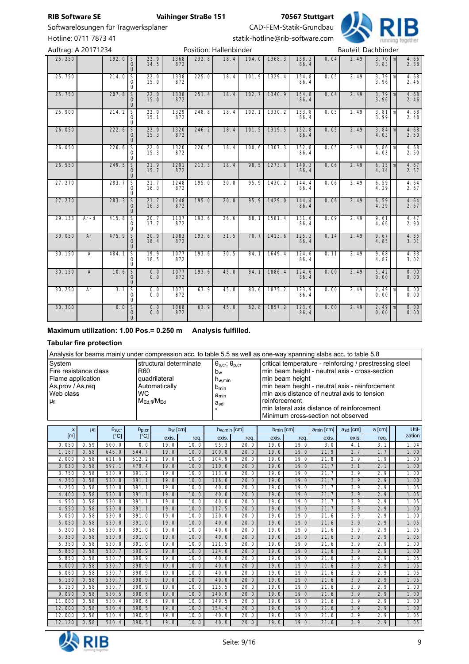# Softwarelösungen für Tragwerksplaner CAD-FEM-Statik-Grundbau

**RIB** 

Hotline: 0711 7873 41<br>Auftrag: 0.20171224<br>Recition: Hallophinder

| Auftrag: A 20171234 |                |         |                                                |                     |                    |       | Position: Hallenbinder | Bauteil: Dachbinder |        |               |      |      |                     |   |                                             |
|---------------------|----------------|---------|------------------------------------------------|---------------------|--------------------|-------|------------------------|---------------------|--------|---------------|------|------|---------------------|---|---------------------------------------------|
| 25.250              |                | 192.0   | $\mathsf S$<br>$\mathbf 0$<br>U                | $22.0$<br>14.5      | 1368<br>872        | 232.8 | 18.4                   | 104.0               | 1368.3 | 158.3<br>86.4 | 0.04 | 2.49 | $3.70 m$<br>$3.83$  |   | 4.66<br>2.38                                |
| 25.750              |                | 214.0   | $\overline{\mathsf{S}}$<br>0<br>U              | 22.0<br>15.0        | 1338<br>872        | 225.0 | 18.4                   | 101.9               | 1329.4 | 154.8<br>86.4 | 0.05 | 2.49 | $3.79$ m<br>3.96    |   | 4.68<br>2.46                                |
| 25.750              |                | 207.8   | $\overline{\mathsf{s}}$<br>$\overline{O}$<br>U | $22.0$<br>15.0      | 1338<br>872        | 251.4 | 18.4                   | 102.7               | 1340.9 | 154.8<br>86.4 | 0.04 | 2.49 | $3.79$ m<br>3.96    |   | 4.68<br>2.46                                |
| 25.900              |                | 214.2   | S<br>0<br>U                                    | $\frac{22.0}{15.1}$ | 1329<br>872        | 248.8 | 18.4                   | 102.1               | 1330.2 | 153.8<br>86.4 | 0.05 | 2.49 | 3.81<br>3.99        | m | 4.68<br>2.48                                |
| 26.050              |                | 222.6   | $\overline{\mathsf{S}}$<br>0<br>$\cup$         | 22.0<br>15.3        | 1320<br>872        | 246.2 | 18.4                   | 101.5               | 1319.5 | 152.8<br>86.4 | 0.05 | 2.49 | $3.84 \, m$<br>4.03 |   | 4.68<br>2.50                                |
| 26.050              |                | 226.6   | S<br>0<br>U                                    | $\frac{22.0}{15.3}$ | 1320<br>872        | 220.5 | 18.4                   | 100.6               | 1307.3 | 152.8<br>86.4 | 0.05 | 2.49 | $5.86$ m<br>4.03    |   | 4.68<br>2.50                                |
| 26.550              |                | 249.5   | S<br>0<br>U                                    | $21.9$<br>$15.7$    | 1291<br>872        | 213.3 | 18.4                   | 98.5                | 1273.8 | 149.3<br>86.4 | 0.06 | 2.49 | $6.15 \, m$<br>4.14 |   | 4.67<br>2.57                                |
| 27.270              |                | 283.7   | $\overline{\mathsf{s}}$<br>$\circ$<br>U        | 21.7<br>16.3        | 1248<br>872        | 195.0 | 20.8                   | 95.9                | 1430.2 | 144.4<br>86.4 | 0.06 | 2.49 | 6.59<br>4.29        |   | $\frac{4.64}{2.67}$                         |
| 27.270              |                | 283.3   | $\mathsf S$<br>0<br>U                          | 21.7<br>16.3        | 1248<br>872        | 195.0 | 20.8                   | 95.9                | 1429.0 | 144.4<br>86.4 | 0.06 | 2.49 | 6.59<br>4.29        |   | 4.64<br>2.67                                |
| 29.133              | $Ar-d$         | 415.8   | $\overline{\mathsf{s}}$<br>0<br>U              | 20.7<br>17.7        | $\frac{1137}{872}$ | 193.6 | 26.6                   | 88.1                | 1581.4 | 131.6<br>86.4 | 0.09 | 2.49 | 9.61<br>4.66        |   | $\frac{4.47}{2.90}$                         |
| 30.050              | Ar             | 475.9   | $\overline{\mathsf{s}}$<br>0<br>U              | 20.0<br>18.4        | 1083<br>872        | 193.6 | 31.5                   | 70.7                | 1413.6 | 125.3<br>86.4 | 0.14 | 2.49 | 9.67<br>4.85        |   | 4.35<br>3.01                                |
| 30.150              | $\overline{A}$ | 484.1   | $\overline{\mathsf{S}}$<br>0<br>U              | 19.9<br>18.5        | 1077<br>872        | 193.6 | 30.5                   | 84.1                | 1649.4 | 124.6<br>86.4 | 0.11 | 2.49 | 9.68<br>4.87        |   | 4.33<br>3.02                                |
| 30.150              | $\overline{A}$ | 10.6    | $\overline{\mathsf{s}}$<br>0<br>U              | 0.0<br>0.0          | 1077<br>872        | 193.6 | 45.0                   | 84.1                | 1886.4 | 124.6<br>86.4 | 0.00 | 2.49 | 5.42<br>0.00        |   | 0.00<br>0.00                                |
| 30.250              | Ar             | 3.1     | $\overline{\mathsf{s}}$<br>0<br>U              | 0.0<br>0.0          | $\frac{1071}{872}$ | 63.9  | 45.0                   | 83.6                | 1875.2 | 123.9<br>86.4 | 0.00 | 2.49 | $2.49$ m<br>0.00    |   | $\begin{array}{c} 0.00 \\ 0.00 \end{array}$ |
| 30.300              |                | $0.0$ S | $_{\rm U}^{\rm O}$                             | 0.0<br>0.0          | 1068<br>872        | 63.9  | 45.0                   | 82.8                | 1857.2 | 123.6<br>86.4 | 0.00 | 2.49 | $2.49$ m<br>0.00    |   | 0.00<br>0.00                                |

#### **Maximum utilization: 1.00 Pos.= 0.250 m Analysis fulfilled.**

#### **Tabular fire protection**

|                       | Analysis for beams mainly under compression acc. to table 5.5 as well as one-way spanning slabs acc. to table 5.8<br>structural determinate<br>$\theta_{\rm s,cr}$ ; $\theta_{\rm p,cr}$<br>critical temperature - reinforcing / prestressing steel |                      |                          |                    |      |                         |      |                       |                 |                       |                                                |        |        |
|-----------------------|-----------------------------------------------------------------------------------------------------------------------------------------------------------------------------------------------------------------------------------------------------|----------------------|--------------------------|--------------------|------|-------------------------|------|-----------------------|-----------------|-----------------------|------------------------------------------------|--------|--------|
| System                |                                                                                                                                                                                                                                                     |                      |                          |                    |      |                         |      |                       |                 |                       |                                                |        |        |
| Fire resistance class |                                                                                                                                                                                                                                                     |                      | R <sub>60</sub>          |                    |      | $b_w$                   |      |                       |                 |                       | min beam height - neutral axis - cross-section |        |        |
| Flame application     |                                                                                                                                                                                                                                                     |                      |                          | quadrilateral      |      | $h_{w,min}$             |      |                       | min beam height |                       |                                                |        |        |
| As, prov / As, req    |                                                                                                                                                                                                                                                     |                      |                          | Automatically      |      |                         |      |                       |                 |                       | min beam height - neutral axis - reinforcement |        |        |
| Web class             |                                                                                                                                                                                                                                                     |                      | <b>WC</b>                |                    |      | b <sub>min</sub>        |      |                       |                 |                       | min axis distance of neutral axis to tension   |        |        |
|                       |                                                                                                                                                                                                                                                     |                      |                          | $M_{Ed,fi}/M_{Ed}$ |      | $a_{min}$               |      | reinforcement         |                 |                       |                                                |        |        |
| μfi                   |                                                                                                                                                                                                                                                     |                      |                          |                    |      | $a_{sd}$                |      |                       |                 |                       | min lateral axis distance of reinforcement     |        |        |
|                       |                                                                                                                                                                                                                                                     |                      |                          |                    |      |                         |      |                       |                 |                       | Minimum cross-section not observed             |        |        |
|                       |                                                                                                                                                                                                                                                     |                      |                          |                    |      |                         |      |                       |                 |                       |                                                |        |        |
| $\pmb{\times}$        | µfi                                                                                                                                                                                                                                                 | $\theta_{\rm S, Cr}$ | $\Theta_{\text{p,cr}}$   | $b_w$ [cm]         |      | h <sub>w,min</sub> [cm] |      | b <sub>min</sub> [cm] |                 | a <sub>min</sub> [cm] | $a_{sd}$ [cm]                                  | a [cm] | Util-  |
| [m]                   |                                                                                                                                                                                                                                                     | $\lceil$ °C]         | $\Gamma$ <sup>o</sup> Cl | exis.              | req. | exis.                   | req. | exis.                 | req.            | exis.                 | exis.                                          | req.   | zation |
| 0.050                 | 0.59                                                                                                                                                                                                                                                | 500.0                | 0.0                      | 19.0               | 10.0 | 95.3                    | 20.0 | 19.0                  | 19.0            | 3.0                   | 4.1                                            | 3.1    | 1.04   |
| 1.167                 | 0.58                                                                                                                                                                                                                                                | 646.0                | 544.7                    | 19.0               | 10.0 | 100.8                   | 20.0 | 19.0                  | 19.0            | 21.9                  | 2.7                                            | 1.7    | 1.00   |
| 2.000                 | 0.58                                                                                                                                                                                                                                                | 621.6                | 512.2                    | 19.0               | 10.0 | 104.9                   | 20.0 | 19.0                  | 19.0            | 21.8                  | 2.9                                            | 1.9    | 1.00   |
| 3.030                 | 0.58                                                                                                                                                                                                                                                | 597.1                | 479.4                    | 19.0               | 10.0 | 110.0                   | 20.0 | 19.0                  | 19.0            | 21.7                  | 3.1                                            | 2.1    | 1.00   |
| 3.750                 | 0.58                                                                                                                                                                                                                                                | 530.9                | 391.2                    | 19.0               | 10.0 | 113.6                   | 20.0 | 19.0                  | 19.0            | 21.7                  | 3.9                                            | 2.9    | 1.00   |
| 4.250                 | 0.58                                                                                                                                                                                                                                                | 530.8                | 391.1                    | 19.0               | 10.0 | 116.0                   | 20.0 | 19.0                  | 19.0            | 21.7                  | 3.9                                            | 2.9    | 1.00   |
| 4.250                 | 0.58                                                                                                                                                                                                                                                | 530.8                | 391.1                    | 19.0               | 10.0 | 40.0                    | 20.0 | 19.0                  | 19.0            | 21.7                  | 3.9                                            | 2.9    | 1.05   |
| 4.400                 | 0.58                                                                                                                                                                                                                                                | 530.8                | 391.1                    | 19.0               | 10.0 | 40.0                    | 20.0 | 19.0                  | 19.0            | 21.7                  | 3.9                                            | 2.9    | 1.05   |
| 4.550                 | 0.58                                                                                                                                                                                                                                                | 530.8                | 391.1                    | 19.0               | 10.0 | 40.0                    | 20.0 | 19.0                  | 19.0            | 21.7                  | 3.9                                            | 2.9    | 1.05   |
| 4.550                 | 0.58                                                                                                                                                                                                                                                | 530.8                | 391.1                    | 19.0               | 10.0 | 117.5                   | 20.0 | 19.0                  | 19.0            | 21.7                  | 3.9                                            | 2.9    | 1.00   |
| 5.050                 | 0.58                                                                                                                                                                                                                                                | 530.8                | 391.0                    | 19.0               | 10.0 | 120.0                   | 20.0 | 19.0                  | 19.0            | 21.6                  | 3.9                                            | 2.9    | 1.00   |
| 5.050                 | 0.58                                                                                                                                                                                                                                                | 530.8                | 391.0                    | 19.0               | 10.0 | 40.0                    | 20.0 | 19.0                  | 19.0            | 21.6                  | 3.9                                            | 2.9    | 1.05   |
| 5.200                 | 0.58                                                                                                                                                                                                                                                | 530.8                | 391.0                    | 19.0               | 10.0 | 40.0                    | 20.0 | 19.0                  | 19.0            | 21.6                  | 3.9                                            | 2.9    | 1.05   |
| 5.350                 | 0.58                                                                                                                                                                                                                                                | 530.8                | 391.0                    | 19.0               | 10.0 | 40.0                    | 20.0 | 19.0                  | 19.0            | 21.6                  | 3.9                                            | 2.9    | 1.05   |
| 5.350                 | 0.58                                                                                                                                                                                                                                                | 530.8                | 391.0                    | 19.0               | 10.0 | 121.5                   | 20.0 | 19.0                  | 19.0            | 21.6                  | 3.9                                            | 2.9    | 1.00   |
| 5.850                 | 0.58                                                                                                                                                                                                                                                | 530.7                | 390.9                    | 19.0               | 10.0 | 124.0                   | 20.0 | 19.0                  | 19.0            | 21.6                  | 3.9                                            | 2.9    | 1.00   |
| 5.850                 | 0.58                                                                                                                                                                                                                                                | 530.7                | 390.9                    | 19.0               | 10.0 | 40.0                    | 20.0 | 19.0                  | 19.0            | 21.6                  | 3.9                                            | 2.9    | 1.05   |
| 6.000                 | 0.58                                                                                                                                                                                                                                                | 530.7                | 390.9                    | 19.0               | 10.0 | 40.0                    | 20.0 | 19.0                  | 19.0            | 21.6                  | 3.9                                            | 2.9    | 1.05   |
| 6.060                 | 0.58                                                                                                                                                                                                                                                | 530.7                | 390.9                    | 19.0               | 10.0 | 40.0                    | 20.0 | 19.0                  | 19.0            | 21.6                  | 3.9                                            | 2.9    | 1.05   |
| 6.150                 | 0.58                                                                                                                                                                                                                                                | 530.7                | 390.9                    | 19.0               | 10.0 | 40.0<br>125.5           | 20.0 | 19.0                  | 19.0            | 21.6                  | 3.9                                            | 2.9    | 1.05   |
| 6.150                 | 0.58                                                                                                                                                                                                                                                | 530.7                | 390.9                    | 10.0<br>19.0       |      |                         | 20.0 | 19.0                  | 19.0            | 21.6                  | 3.9                                            | 2.9    | 1.00   |
| 9.090                 | 0.58                                                                                                                                                                                                                                                | 530.5                | 390.6                    | 19.0               | 10.0 | 140.0                   | 20.0 | 19.0                  | 19.0            | 21.6                  | 3.9                                            | 2.9    | 1.00   |
| 11.000                | 0.58                                                                                                                                                                                                                                                | 530.4                | 390.6                    | 19.0               | 10.0 | 149.5                   | 20.0 | 19.0                  | 19.0            | 21.6                  | 3.9                                            | 2.9    | 1.00   |
| 12.000                | 0.58                                                                                                                                                                                                                                                | 530.4                | 390.5                    | 19.0               | 10.0 | 154.4                   | 20.0 | 19.0                  | 19.0            | 21.6                  | 3.9                                            | 2.9    | 1.00   |
| 12.000                | 0.58                                                                                                                                                                                                                                                | 530.4                | 390.5                    | 19.0               | 10.0 | 40.0                    | 20.0 | 19.0                  | 19.0            | 21.6                  | 3.9                                            | 2.9    | 1.05   |
| 12.120                | 0.58                                                                                                                                                                                                                                                | 530.4                | 390.5                    | 19.0               | 10.0 | 40.0                    | 20.0 | 19.0                  | 19.0            | $\overline{21.6}$     | 3.9                                            | 2.9    | 1.05   |

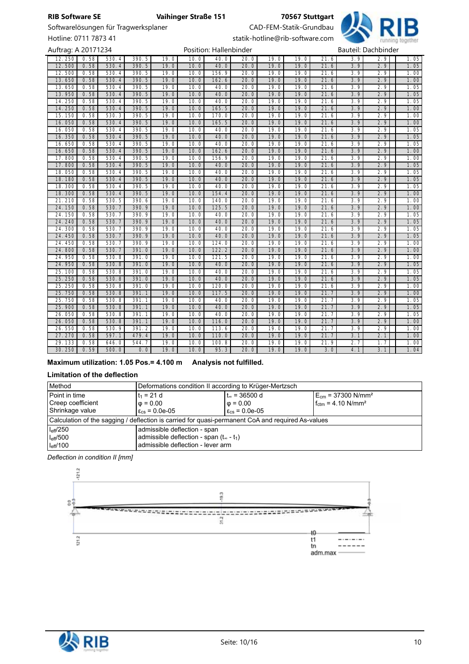# Softwarelösungen für Tragwerksplaner CAD-FEM-Statik-Grundbau

Hotline: 0711 7873 41 statik-hotline@rib-software.com



| Auftrag: A 20171234 |              |                |                |              |              | Position: Hallenbinder |              |              |              |              | Bauteil: Dachbinder |            |              |
|---------------------|--------------|----------------|----------------|--------------|--------------|------------------------|--------------|--------------|--------------|--------------|---------------------|------------|--------------|
| 12.250              | 0.58         | 530.4          | 390.5          | 19.0         | 10.0         | 40.0                   | 20.0         | 19.0         | 19.0         | 21.6         | 3.9                 | 2.9        | 1.05         |
| 12.500              | 0.58         | 530.4          | 390.5          | 19.0         | 10.0         | 40.0                   | 20.0         | 19.0         | 19.0         | 21.6         | 3.9                 | 2.9        | 1.05         |
| 12.500              | 0.58         | 530.4          | 390.5          | 19.0         | 10.0         | 156.9                  | 20.0         | 19.0         | 19.0         | 21.6         | 3.9                 | 2.9        | 1.00         |
| 13.650              | 0.58         | 530.4          | 390.5          | 19.0         | 10.0         | 162.6                  | 20.0         | 19.0         | 19.0         | 21.6         | 3.9                 | 2.9        | 1.00         |
| 13.650              | 0.58         | 530.4          | 390.5          | 19.0         | 10.0         | 40.0                   | 20.0         | 19.0         | 19.0         | 21.6         | 3.9                 | 2.9        | 1.05         |
| 13.950              | 0.58         | 530.4          | 390.5          | 19.0         | 10.0         | 40.0                   | 20.0         | 19.0         | 19.0         | 21.6         | 3.9                 | 2.9        | 1.05         |
| 14.250              | 0.58         | 530.4          | 390.5          | 19.0         | 10.0         | 40.0                   | 20.0         | 19.0         | 19.0         | 21.6         | 3.9                 | 2.9        | 1.05         |
| 14.250              | 0.58         | 530.4          | 390.5          | 19.0         | 10.0         | 165.5                  | 20.0         | 19.0         | 19.0         | 21.6         | 3.9                 | 2.9        | 1.00         |
| 15.150              | 0.58         | 530.3          | 390.5          | 19.0         | 10.0         | 170.0                  | 20.0         | 19.0         | 19.0         | 21.6         | 3.9                 | 2.9        | 1.00         |
| 16.050              | 0.58         | 530.4          | 390.5          | 19.0         | 10.0         | 165.5                  | 20.0         | 19.0         | 19.0         | 21.6         | 3.9                 | 2.9        | 1.00         |
| 16.050              | 0.58         | 530.4          | 390.5          | 19.0         | 10.0         | 40.0                   | 20.0         | 19.0         | 19.0         | 21.6         | 3.9                 | 2.9        | 1.05         |
| 16.350              | 0.58         | 530.4          | 390.5          | 19.0         | 10.0         | 40.0                   | 20.0         | 19.0         | 19.0         | 21.6         | 3.9                 | 2.9        | 1.05         |
| 16.650              | 0.58         | 530.4          | 390.5          | 19.0         | 10.0         | 40.0                   | 20.0         | 19.0         | 19.0         | 21.6         | 3.9                 | 2.9        | 1.05         |
| 16.650              | 0.58         | 530.4          | 390.5          | 19.0         | 10.0         | 162.6                  | 20.0         | 19.0         | 19.0         | 21.6         | 3.9                 | 2.9        | 1.00         |
| 17.800              | 0.58         | 530.4          | 390.5          | 19.0         | 10.0         | 156.9                  | 20.0         | 19.0         | 19.0         | 21.6         | 3.9                 | 2.9        | 1.00         |
| 17.800              | 0.58         | 530.4          | 390.5          | 19.0         | 10.0         | 40.0                   | 20.0         | 19.0         | 19.0         | 21.6         | 3.9                 | 2.9        | 1.05         |
| 18.050              | 0.58         | 530.4          | 390.5          | 19.0         | 10.0         | 40.0                   | 20.0         | 19.0         | 19.0         | 21.6         | 3.9                 | 2.9        | 1.05         |
| 18.180              | 0.58         | 530.4          | 390.5          | 19.0         | 10.0         | 40.0                   | 20.0         | 19.0         | 19.0         | 21.6         | 3.9                 | 2.9        | 1.05         |
| 18.300              | 0.58         | 530.4          | 390.5          | 19.0         | 10.0         | 40.0                   | 20.0         | 19.0         | 19.0         | 21.6         | 3.9                 | 2.9        | 1.05         |
| 18.300              | 0.58         | 530.4          | 390.5          | 19.0         | 10.0         | 154.4                  | 20.0         | 19.0         | 19.0         | 21.6         | 3.9                 | 2.9        | 1.00         |
| 21.210              | 0.58         | 530.5          | 390.6          | 19.0         | 10.0         | 140.0                  | 20.0         | 19.0         | 19.0         | 21.6         | 3.9                 | 2.9        | 1.00         |
| 24.150              | 0.58         | 530.7          | 390.9          | 19.0         | 10.0         | 125.5                  | 20.0         | 19.0         | 19.0         | 21.6         | 3.9                 | 2.9        | 1.00         |
| 24.150              | 0.58         | 530.7          | 390.9          | 19.0         | 10.0         | 40.0                   | 20.0         | 19.0         | 19.0         | 21.6         | 3.9                 | 2.9        | 1.05         |
| 24.240              | 0.58         | 530.7          | 390.9          | 19.0         | 10.0         | 40.0                   | 20.0         | 19.0         | 19.0         | 21.6         | 3.9                 | 2.9        | 1.05         |
| 24.300              | 0.58         | 530.7          | 390.9          | 19.0         | 10.0         | 40.0                   | 20.0         | 19.0         | 19.0         | 21.6         | 3.9                 | 2.9        | 1.05         |
| 24.450              | 0.58         | 530.7          | 390.9          | 19.0         | 10.0         | 40.0                   | 20.0         | 19.0         | 19.0         | 21.6         | 3.9                 | 2.9        | 1.05         |
| 24.450              | 0.58         | 530.7          | 390.9          | 19.0         | 10.0         | 124.0                  | 20.0         | 19.0         | 19.0         | 21.6         | 3.9                 | 2.9        | 1.00         |
| 24.800              | 0.58         | 530.7          | 391.0          | 19.0         | 10.0         | 122.2                  | 20.0         | 19.0         | 19.0         | 21.6         | 3.9                 | 2.9        | 1.00         |
| 24.950              | 0.58         | 530.8          | 391.0          | 19.0         | 10.0         | 121.5                  | 20.0         | 19.0         | 19.0         | 21.6         | 3.9                 | 2.9        | 1.00         |
| 24.950              | 0.58         | 530.8          | 391.0          | 19.0<br>19.0 | 10.0<br>10.0 | 40.0<br>40.0           | 20.0<br>20.0 | 19.0         | 19.0         | 21.6         | 3.9                 | 2.9        | 1.05         |
| 25.100<br>25.250    | 0.58<br>0.58 | 530.8<br>530.8 | 391.0<br>391.0 | 19.0         | 10.0         | 40.0                   | 20.0         | 19.0<br>19.0 | 19.0         | 21.6<br>21.6 | 3.9<br>3.9          | 2.9<br>2.9 | 1.05<br>1.05 |
| 25.250              | 0.58         | 530.8          | 391.0          | 19.0         | 10.0         | 120.0                  | 20.0         | 19.0         | 19.0<br>19.0 | 21.6         | 3.9                 | 2.9        | 1.00         |
| 25.750              | 0.58         | 530.8          | 391.1          | 19.0         | 10.0         | 117.5                  | 20.0         | 19.0         | 19.0         | 21.7         | 3.9                 | 2.9        | 1.00         |
| 25.750              | 0.58         | 530.8          | 391.1          | 19.0         | 10.0         | 40.0                   | 20.0         | 19.0         | 19.0         | 21.7         | 3.9                 | 2.9        | 1.05         |
| 25.900              | 0.58         | 530.8          | 391.1          | 19.0         | 10.0         | 40.0                   | 20.0         | 19.0         | 19.0         | 21.7         | 3.9                 | 2.9        | 1.05         |
| 26.050              | 0.58         | 530.8          | 391.1          | 19.0         | 10.0         | 40.0                   | 20.0         | 19.0         | 19.0         | 21.7         | 3.9                 | 2.9        | 1.05         |
| 26.050              | 0.58         | 530.8          | 391.1          | 19.0         | 10.0         | 116.0                  | 20.0         | 19.0         | 19.0         | 21.7         | 3.9                 | 2.9        | 1.00         |
| 26.550              | 0.58         | 530.9          | 391.2          | 19.0         | 10.0         | 113.6                  | 20.0         | 19.0         | 19.0         | 21.7         | 3.9                 | 2.9        | 1.00         |
| 27.270              | 0.58         | 597.1          | 479.4          | 19.0         | 10.0         | 110.0                  | 20.0         | 19.0         | 19.0         | 21.7         | 3.1                 | 2.1        | 1.00         |
| 29.133              | 0.58         | 646.0          | 544.7          | 19.0         | 10.0         | 100.8                  | 20.0         | 19.0         | 19.0         | 21.9         | 2.7                 | 1.7        | 1.00         |
| 30.250              | 0.59         | 500.0          | 0.0            | 19.0         | 10.0         | 95.3                   | 20.0         | 19.0         | 19.0         | 3.0          | 4.1                 | 3.1        | 1.04         |
|                     |              |                |                |              |              |                        |              |              |              |              |                     |            |              |

# **Maximum utilization: 1.05 Pos.= 4.100 m Analysis not fulfilled.**

### **Limitation of the deflection**

| Method                                                                                                                                                                                         | Deformations condition II according to Krüger-Mertzsch               |                                                            |                                                                              |  |  |  |  |  |  |
|------------------------------------------------------------------------------------------------------------------------------------------------------------------------------------------------|----------------------------------------------------------------------|------------------------------------------------------------|------------------------------------------------------------------------------|--|--|--|--|--|--|
| Point in time<br>Creep coefficient<br>Shrinkage value                                                                                                                                          | lt <sub>1</sub> = 21 d<br>$\phi = 0.00$<br>$\epsilon_{cs}$ = 0.0e-05 | t∞ = 36500 d<br>$\phi = 0.00$<br>$\epsilon_{cs}$ = 0.0e-05 | $E_{cm}$ = 37300 N/mm <sup>2</sup><br>$f_{\text{ctm}} = 4.10 \text{ N/mm}^2$ |  |  |  |  |  |  |
| Calculation of the sagging / deflection is carried for quasi-permanent CoA and required As-values                                                                                              |                                                                      |                                                            |                                                                              |  |  |  |  |  |  |
| $I_{\text{eff}}/250$<br>admissible deflection - span<br>admissible deflection - span $(t_{\infty} - t_1)$<br>$I_{\text{eff}}/500$<br>admissible deflection - lever arm<br>$I_{\text{eff}}/100$ |                                                                      |                                                            |                                                                              |  |  |  |  |  |  |

*Deflection in condition II [mm]*



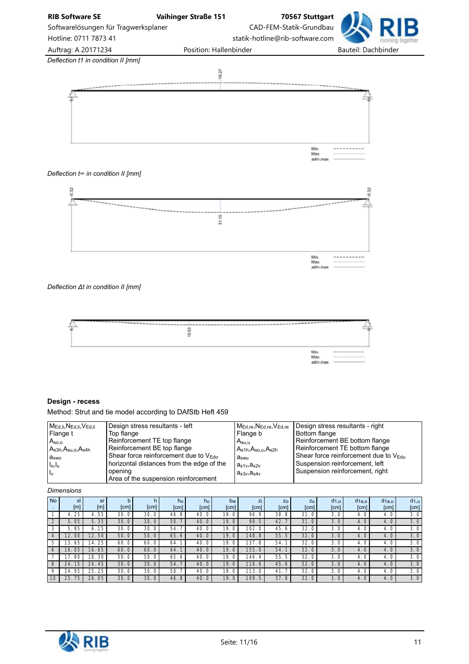



### *Deflection t∞ in condition II [mm]*



*Deflection Δt in condition II [mm]*



# **Design - recess**

Method: Strut and tie model according to DAfStb Heft 459

#### *Dimensions*

| <b>No</b>      | xl<br>[m] | xr<br>[m]  | b<br>[cm] | [cm] | ho<br>[cm] | hu<br>[cm]            | bw<br>[cm]            | Zi<br>[cm]       | Z <sub>O</sub><br>[cm] | $Z_{U}$<br>[cm] | $d_{1,o}$<br>[cm] | $d$ <sub>1a.o</sub><br>[cm] | $d$ <sub>1a.u</sub><br>[cm] | $d_{1,u}$<br>[cm] |
|----------------|-----------|------------|-----------|------|------------|-----------------------|-----------------------|------------------|------------------------|-----------------|-------------------|-----------------------------|-----------------------------|-------------------|
|                | 25        | 4.55       | 30.0      | 30.0 | 46.8       | 40.<br>$\circ$        | 19.0                  | 96.9             | 38.8                   | 31.0            | 3.0               | 4.0                         | 4.0                         | 3.0               |
| 2              | 5.05      | 35<br>5.   | 30.0      | 30.0 | 50.        | 40.<br>$\mathbf{0}$   | 19.0                  | 99.5             | 42.                    | 31.0            | 3.0               | 4.0                         | 4.0                         | 3.0               |
| 3              | 85<br>5.  | 15<br>6.   | 30.0      | 30.0 | 54.        | $\mathbf 0$<br>40     | 19.0                  | 102.<br>$\circ$  | 45.6                   | 32.             | 3.0               | 4.0                         | 4.0                         | 3.0               |
| $\overline{4}$ | 00<br>12. | 12. 50 l   | 50.0      | 50.0 | 65.6       | 40.0                  | 19.0                  | 148.<br>8        | 55.5                   | 32.0            | 3.0               | 4.0                         | 4.0                         | 3.0               |
| 5              | 65<br>13. | 14.25      | 60.0      | 60.0 | 64.        | 40.<br>$\circ$        | 19.0                  | 137<br>8         | 54.                    | 32.1            | 3.0               | 4.0                         | 4.0                         | 3.0               |
| 6              | 05<br>16. | 16.65      | 60.0      | 60.0 | 64.        | 40.<br>$\overline{0}$ | 19.0                  | 155.<br>$\circ$  | 54.                    | 32.             | 3.0               | 4.0                         | 4.0                         | 3.0               |
|                | 80        | 30<br>18.  | 50.0      | 50.0 | 65.6       | 40.<br>0              | 19.<br>$\Omega$       | 146.<br>4        | 55.5                   | 32.0            | 3.0               | 4.0                         | 4.0                         | 3.0               |
| 8              | 15<br>24. | 45<br>24.  | 30.0      | 30.0 | 54.        | 40<br>.0 <sup>′</sup> | 19.<br>$\overline{0}$ | 116.<br>6        | 45.6                   | 32.0            | 3.0               | 4.0                         | 4.0                         | 3.0               |
| $\mathsf Q$    | 95<br>24. | .25<br>25. | 30.0      | 30.0 | 50.        | 40<br>0               | 19.<br>$\Omega$       | 113.<br>$\Omega$ | 41.                    | 32.0            | 3.0               | 4.0                         | 4.0                         | 3.0               |
| 10             | 25<br>75  | 05<br>26.  | 30.0      | 30.0 | 46.8       | 40.0                  | 19.0                  | 109.<br>5        | 37.8                   | 32.0            | 3.0               | 4.0                         | 4.0                         | 3.0               |

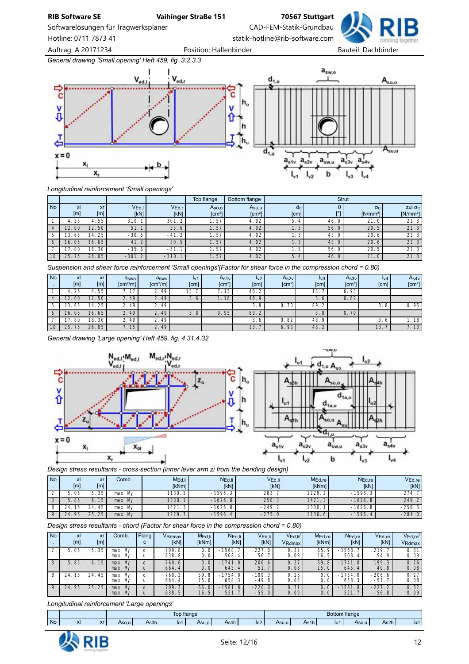Softwarelösungen für Tragwerksplaner CAD-FEM-Statik-Grundbau

Hotline: 0711 7873 41 statik-hotline@rib-software.com

Auftrag: A 20171234 **Position: Hallenbinder** Position: Hallenbinder Bauteil: Dachbinder

*General drawing 'Small opening' Heft 459, fig. 3.2,3.3*



*Longitudinal reinforcement 'Small openings'*

|           |           |                    |          |         | Top flange         | Bottom flange      | Strut                     |          |                  |                |  |  |  |
|-----------|-----------|--------------------|----------|---------|--------------------|--------------------|---------------------------|----------|------------------|----------------|--|--|--|
| <b>No</b> | xI        | <b>xr</b>          | VEd.     | VEd,r   | Aso,o              | Asu,u              | $\mathsf{a}_{\mathsf{c}}$ | θ<br>r°1 | $\sigma_{\rm C}$ | zul $\sigma_c$ |  |  |  |
|           | [m]       | [m]                | [kN]     | [kN]    | [cm <sup>2</sup> ] | [cm <sup>2</sup> ] | [cm]                      |          | $[N/mm^2]$       | $[N/mm^2]$     |  |  |  |
|           | 25        | 4.55               | 310.     | 301.2   | . 57               | 4.02               | 5.<br>4                   | 46.0     | 21               | 21.3           |  |  |  |
|           | 12.<br>00 | 12. 50 l           | 51.      | 35.6    | 1.57               | 4.02               | 1.5'                      | 56.0     | 20.5             | 21.3           |  |  |  |
|           | 65<br>13. | 14.25              | $-30.5$  | $-41.2$ | i. 57              | 4.02               | 1. 3                      | 43.0     | 20.6             | 21.3           |  |  |  |
| 6         | 05<br>16. | 16.65              | 41.2     | 30.5    | 1.57               | 4.02               | 1.3                       | 43.0     | 20.6             | 21.3           |  |  |  |
|           | 80        | 18.30 <sub>1</sub> | $-35.6$  | $-51$   | i. 57              | 4.02               | i. 5                      | 56.0     | 20.5             | 21.3           |  |  |  |
| 10        | 75<br>25  | 26.05              | $-301.2$ | $-310.$ | 1.57               | 4.02               | 5.<br>$\frac{4}{3}$       | 46.0     | 21.0             | 21.3           |  |  |  |

*Suspension and shear force reinforcement 'Small openings'(Factor for shear force in the compression chord = 0.80)*

| <b>No</b> | x <sub>l</sub><br>[m]  | <b>xr</b><br>[m] | aswo<br>[cm <sup>2</sup> /m] | aswu<br>[cm <sup>2</sup> /m] | $I_{V}$ 1<br>[cm] | As1v<br>[cm <sup>2</sup> ] | $\mathsf{I}_{\mathsf{V2}}$<br>[cm] | As2v<br>[cm <sup>2</sup> ] | Iv3<br>[cm] | As3v<br>$\text{[cm}^2$ | Iv4<br>[cm] | As4v<br>[cm <sup>2</sup> ] |
|-----------|------------------------|------------------|------------------------------|------------------------------|-------------------|----------------------------|------------------------------------|----------------------------|-------------|------------------------|-------------|----------------------------|
|           | 25                     | 4.55             | 17<br>, , ,                  | 2.49                         | 13.               | 13<br>$\cdot$              | 48.2                               |                            | 13.         | 6.93                   |             |                            |
|           | 12.<br>00 <sub>1</sub> | 12.50            | 2.49'                        | 2.49                         | $\sim$<br>3.6     | 18                         | 48.9                               |                            | 3.6         | 0.82                   |             |                            |
|           | 65<br>13.              | 14. 25           | 2.49                         | 2.49                         |                   |                            | 3.8                                | 0.70                       | 89.2        |                        | 3.8         | 0.95                       |
| O         | 05<br>16.              | 65<br>16.        | 2.49'                        | 2.49                         | 3.8               | 95                         | 89.2                               |                            | 3.8         | 0.70                   |             |                            |
|           | 80                     | 18.30            | 2.49                         | 2.49                         |                   |                            | 3.6                                | 0.82                       | 48.9        |                        | 3.6         | 1.18                       |
| 10        | 25<br>75               | 05<br>26         | 15                           | 2.49                         |                   |                            | 13.                                | 6.93                       | 48.2        |                        | 13.         | 7.13                       |

*General drawing 'Large opening' Heft 459, fig. 4.31,4.32*



*Design stress resultants - cross-section (inner lever arm zi from the bending design)*

| <b>No</b> | xl<br>[m] | xr<br>[m]             | Comb.            | M <sub>Ed,li</sub><br>[kNm] | N <sub>Ed,li</sub><br>[kN] | V <sub>Ed,li</sub><br>[kN] | $M_{\text{Ed,re}}$<br><b>IkNml</b> | $N_{\text{Ed,re}}$<br><b>IkN1</b> | $V_{\mathsf{Ed},\mathsf{re}}$<br>[kN] |
|-----------|-----------|-----------------------|------------------|-----------------------------|----------------------------|----------------------------|------------------------------------|-----------------------------------|---------------------------------------|
|           | 05        | . 35                  | Mv<br>max        | '130.5.                     | $-1596.3$                  | 283.                       | 1229.2                             | $-1596.3$                         | 274.                                  |
|           | 85        | 15 <sub>1</sub><br>6. | My<br>max        | 1330.                       | $-1626.8$                  | 258.3                      | 1421.3                             | $-1626.8$                         | 249.2                                 |
|           | 15<br>24  | 45<br>24.             | Mv<br>max        | 1421.3                      | $-1626.8$                  | $-249.2$                   | 1330.                              | $-1626.8$                         | $-258.3$                              |
|           | 95<br>24. | 25<br>25.             | <b>My</b><br>max | 1229.3                      | $-1596.4$                  | $-275.0$                   | 1130.6                             | $-1596.4$                         | $-284.0$                              |

*Design stress resultants - chord (Factor for shear force in the compression chord = 0.80)*

| <b>No</b> | xl<br>[m] | xr<br>[m]       | Comb.                  | Flang    | VRdmax<br>[KN] | $MEd$ .<br><b>IkNml</b> | NEd.li<br>[kN]     | VEd, li<br>[KN]     | VEd.Ii/<br>V <sub>Rdmax</sub> | MEd.re<br>[kNm]   | NEd.re<br>[kN]     | VEd.re<br>[kN]      | VEd.re/<br>VRdmax |
|-----------|-----------|-----------------|------------------------|----------|----------------|-------------------------|--------------------|---------------------|-------------------------------|-------------------|--------------------|---------------------|-------------------|
|           | 5.05      | 35              | Mv<br>max<br>Mv<br>max |          | 709.8<br>638.8 | 0. 0<br>0. 0            | 1568.<br>508.4     | 227.0<br>56.        | 0.32<br>0.09                  | 65.<br>16.5       | 1568.<br>508.4     | 219.7<br>54.9       | 0.31<br>0.09      |
|           | 5.85      | 15 <sub>1</sub> | Mv<br>max<br>max My    | $\Omega$ | 760.6<br>664.4 | 0.0<br>0.0 <sub>1</sub> | 1741.0<br>645.4    | 206.6<br>51.7       | 0.27<br>0.08                  | 59.<br>8<br>15.01 | $-1741.0$<br>645.4 | 199.3<br>49.8       | 0.26<br>0.08      |
| 8         | 15<br>24. | 45<br>24.       | max My<br>max My       |          | 760.2<br>664.4 | 59.8<br>15. O           | $-1754.0$<br>658.3 | $-199.3$<br>$-49.8$ | 0.26<br>0.08                  | 0.0               | 754.0<br>658.3     | $-206.6$<br>$-51.$  | 0.27<br>0.08      |
| $\Omega$  | 95<br>24. | 25.<br>25       | max My<br>max My       | $\Omega$ | 709.3<br>638.5 | 66.0<br>16.5            | $-1581.8$<br>521.  | $-220.0$<br>$-55.0$ | 0.31<br>0.09                  | 0.0<br>0. 0       | $-1581.8$<br>521.  | $-227.2$<br>$-56.8$ | 0.32<br>0.09      |

*Longitudinal reinforcement 'Large openings'*

|           |     |                                          |       | Top<br><b>flange</b> |       |       |      |                 |       | <b>Botto</b><br>⊧flange |      |                                                                                                                         |      |                                                                                                                              |  |
|-----------|-----|------------------------------------------|-------|----------------------|-------|-------|------|-----------------|-------|-------------------------|------|-------------------------------------------------------------------------------------------------------------------------|------|------------------------------------------------------------------------------------------------------------------------------|--|
| <b>No</b> | хI. | $\overline{\phantom{a}}$<br>$\mathbf{v}$ | Aso.o | ¬sɔn                 | llo i | Asu.c | As4h | lo <sub>2</sub> | Asu.u | As1h<br>$- \cdot \cdot$ | -lui | Aso.u<br>and the state of the state of the state of the state of the state of the state of the state of the state of th | As2h | lu2<br><b>Contract Contract Contract Contract Contract Contract Contract Contract Contract Contract Contract Contract Co</b> |  |

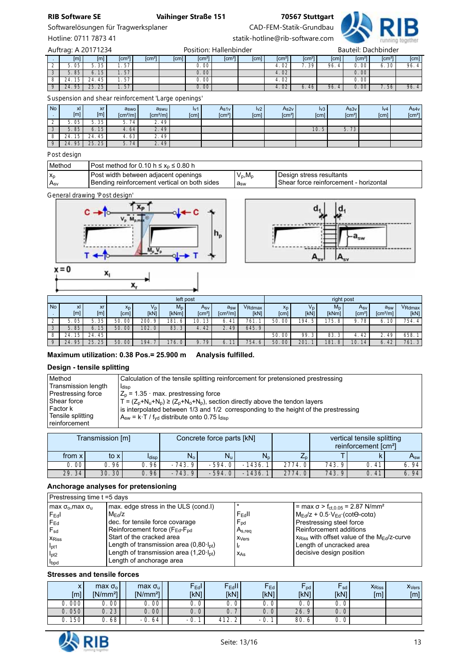Softwarelösungen für Tragwerksplaner CAD-FEM-Statik-Grundbau



Hotline: 0711 7873 41 statik-hotline@rib-software.com

. | [m]| [m]| [cm²|| [cm²|| [cm]| [cm²|| [cm²|| [cm²|| [cm]| [cm²|| [cm²|| [cm²|| [cm²|| [cm]| [cm] 2 5.05 5.35 1.57 0.00 4.02 7.39 96.4 0.00 6.30 96.4 3 | 5.85 | 6.15 | 1.57 | 1.57 | 0.00 | | | | 4.02 | | | 0.00 8 24.15 24.45 1.57 0.00 4.02 0.00 9 24.95 25.25 1.57 | 1.02 6.46 96.4 0.00 7.56 96.4 Auftrag: A 20171234 **Position: Hallenbinder** Postion: Hallenbinder

*Suspension and shear reinforcement 'Large openings'*

| <b>No</b> | xI<br>[m] | xr<br>[m]  | aswo<br>$\lceil cm^2/m \rceil$ | aswu<br>$\lceil cm^2/m \rceil$ | Iv1<br>[cm] | As1v<br>[cm <sup>2</sup> ] | 1 <sub>v2</sub><br>[cm] | As2v<br>[cm <sup>2</sup> ] | v3 <br>[cm] | A <sub>s3v</sub><br>[cm <sup>2</sup> ] | $I_{V4}$<br>[cm] | As4v<br>[cm <sup>2</sup> ] |
|-----------|-----------|------------|--------------------------------|--------------------------------|-------------|----------------------------|-------------------------|----------------------------|-------------|----------------------------------------|------------------|----------------------------|
| <u>.</u>  | 5.05      | 35         | 74<br>b.                       | 2.49                           |             |                            |                         |                            |             |                                        |                  |                            |
| ◡         | 5.85      | 15<br>6.   | 4.64                           | 2.49                           |             |                            |                         |                            | 10.5        | 70<br>5.<br>75                         |                  |                            |
|           | 15<br>24. | .45<br>24. | 4.63                           | 2.49                           |             |                            |                         |                            |             |                                        |                  |                            |
|           | 95<br>24  | 25.25      | 5.74                           | 2.49'                          |             |                            |                         |                            |             |                                        |                  |                            |

*Post design*

| Method    | l Post method for 0.10 h ≤ x, ≤ 0.80 h_                                                |              |                                                                     |  |  |  |  |  |
|-----------|----------------------------------------------------------------------------------------|--------------|---------------------------------------------------------------------|--|--|--|--|--|
| <b>Xn</b> | Post width between adjacent openings<br>l Bending reinforcement vertical on both sides | $V_p, M_p$   | Design stress resultants_<br>Shear force reinforcement - horizontal |  |  |  |  |  |
| msv       |                                                                                        | $a_{\rm sw}$ |                                                                     |  |  |  |  |  |

*General drawing 'Post design'*



 $\mathbf{x}_r$ 



|           |           |                                |                        | left post           |                |                           |                                             |                |                        |                     | right post             |                        |                                             |                |
|-----------|-----------|--------------------------------|------------------------|---------------------|----------------|---------------------------|---------------------------------------------|----------------|------------------------|---------------------|------------------------|------------------------|---------------------------------------------|----------------|
| <b>No</b> | xl<br>[m] | <b>xr</b><br>$\lceil m \rceil$ | X <sub>D</sub><br>[cm] | $V_{\rm D}$<br>[kN] | $M_D$<br>[kNm] | Asv<br>[cm <sup>2</sup> ] | a <sub>sw</sub><br>$\text{Icm}^2/\text{ml}$ | VRdmax<br>[kN] | X <sub>D</sub><br>[cm] | $V_{\rm D}$<br>[kN] | $M_D$<br>[kNm]         | Asy<br>$\text{cm}^{2}$ | a <sub>sw</sub><br>$\text{[cm}^2/\text{ml}$ | VRdmax<br>[kN] |
| ∸         | 05<br>5.  | 5.35                           | 50.<br>00              | 200.<br>$\circ$     | 181.<br>-6     | 13<br>10.                 | 41                                          | 761            | 50<br>00               | 194.<br>Б.          | 175.<br>. 8            | 78<br>Q                | 10<br>о.                                    | 754.4          |
| 3         | 85<br>5.  | 15 <sub>h</sub><br>6.          | 50.<br>$00\,$          | 102.0               | 83.3           | 42'<br>$-4.$              | 2.49                                        | 645.9          |                        |                     |                        |                        |                                             |                |
| 8         | 15<br>24. | 24.45                          |                        |                     |                |                           |                                             |                | 50.00                  | 99.3                | 83.                    | 42<br>4.               | 49                                          | 658.           |
| $\Omega$  | 95<br>24. | 25.25                          | 50.<br>00 <sup>1</sup> | 194.                | 176.0          | 79'<br>9.                 | 11                                          | 754.6          | 50.<br>00              | 201.                | 181<br>.8 <sup>′</sup> | 10.<br>14              | 42<br>6.                                    | 761.3          |

# **Maximum utilization: 0.38 Pos.= 25.900 m Analysis fulfilled.**

### **Design - tensile splitting**

| Method              | Calculation of the tensile splitting reinforcement for pretensioned prestressing         |
|---------------------|------------------------------------------------------------------------------------------|
| Transmission length | Idisp                                                                                    |
| Prestressing force  | $Z_p$ = 1.35 $\cdot$ max. prestressing force                                             |
| Shear force         | $T = (Z_p + N_u + N_p) \ge (Z_p + N_o + N_p)$ , section directly above the tendon layers |
| Factor k            | is interpolated between 1/3 and 1/2 corresponding to the height of the prestressing      |
| Tensile splitting   | $A_{sw}$ = k·T / f <sub>vd</sub> distribute onto 0.75 $I_{diss}$                         |
| ⊺reinforcement      |                                                                                          |

|          | Transmission [m] |               |             | Concrete force parts [kN] |                                   |         |       | vertical tensile splitting<br>reinforcement [cm <sup>2</sup> ] |                            |
|----------|------------------|---------------|-------------|---------------------------|-----------------------------------|---------|-------|----------------------------------------------------------------|----------------------------|
| from x l | to x             | <b>I</b> disp | $N_{\rm o}$ | $N_{\rm u}$               | $N_{\rm n}$                       | $L_{D}$ |       |                                                                | $\mathsf{A}_{\mathsf{sw}}$ |
| 0.00     | 0. 96            | . 96          | $-743.9$    | $-594.01$                 | 1436.<br>$\overline{\phantom{0}}$ | 2774.0  | 743.9 | 41                                                             | 6.94                       |
| 29.34    | 30.30            | 96            | $-743.9$    | $-594.01$                 | 1436.<br>-                        | 2774.0  | 743.9 | 0.41                                                           | 6.94                       |

### **Anchorage analyses for pretensioning**

|                                             | Prestressing time t =5 days                              |                    |                                                               |  |  |  |  |  |  |  |  |  |
|---------------------------------------------|----------------------------------------------------------|--------------------|---------------------------------------------------------------|--|--|--|--|--|--|--|--|--|
| max $\sigma_{\rm o}$ , max $\sigma_{\rm u}$ | max. edge stress in the ULS (cond.I)                     |                    | $=$ max σ > f <sub>ct.0.05</sub> = 2.87 N/mm <sup>2</sup>     |  |  |  |  |  |  |  |  |  |
| $F_{\rm Ed}$                                | $M_{\text{Ed}}/Z$                                        | $F_{\text{Ed}}$ II | $M_{\text{Ed}}/z$ + 0.5 $V_{\text{Ed}}$ (cot $\Theta$ -cota)  |  |  |  |  |  |  |  |  |  |
| $F_{Ed}$                                    | dec. for tensile force covarage                          | $F_{\text{pd}}$    | Prestressing steel force                                      |  |  |  |  |  |  |  |  |  |
| $F_{sd}$                                    | Reinforcement force (F <sub>Ed</sub> -F <sub>pd</sub>    | $A_{s,req}$        | Reinforcement additions                                       |  |  |  |  |  |  |  |  |  |
| <b>X</b> Riss                               | Start of the cracked area                                | X <sub>Vers</sub>  | $x_{\rm Riss}$ with offset value of the $M_{\rm Ed}/z$ -curve |  |  |  |  |  |  |  |  |  |
| I <sub>pt1</sub>                            | Length of transmission area $(0,80, I_{\text{ot}})$      | - Ir               | Length of uncracked area                                      |  |  |  |  |  |  |  |  |  |
| I <sub>pt2</sub>                            | Length of transmission area $(1,20 \cdot I_{\text{bt}})$ | X <sub>As</sub>    | decisive design position                                      |  |  |  |  |  |  |  |  |  |
| <b>I</b> bpd                                | Length of anchorage area                                 |                    |                                                               |  |  |  |  |  |  |  |  |  |

### **Stresses and tensile forces**

| $\mathsf{x}$<br>[m] | $max \sigmao$<br>$[N/mm^2]$ | max $\sigma_u$<br>IN/mm <sup>2</sup> | $F_{\text{Ed}}$<br>[kN]         | $\mathsf{F}_{\mathsf{Ed}}\mathsf{II}$<br>[KN] | FEd<br>[kN]                    | r pd l<br><b>IKN1</b> | $\mathsf{r}_{\mathsf{sd}}$<br>[kN] | <b>X</b> Riss<br>$\lceil m \rceil$ | X <sub>Vers</sub><br>$\lceil m \rceil$ |
|---------------------|-----------------------------|--------------------------------------|---------------------------------|-----------------------------------------------|--------------------------------|-----------------------|------------------------------------|------------------------------------|----------------------------------------|
| 0.000               | 00                          | 00                                   | 0. 0                            | 0<br>v.                                       | 0<br>U.                        | 0<br>U.               | U.                                 |                                    |                                        |
| 0.050               | 0.23                        | 0.00 <sup>1</sup>                    | 0. 0                            | 0.                                            | 0. 0                           | 26.<br>$\Omega$       | 0.                                 |                                    |                                        |
| 150                 | 68                          | 64<br>$-0.$                          | $\overline{\phantom{a}}$<br>-U. | 412<br>. <u>.</u> .                           | $\overline{\phantom{0}}$<br>ູ. | 80.<br>$\overline{a}$ | U.                                 |                                    |                                        |

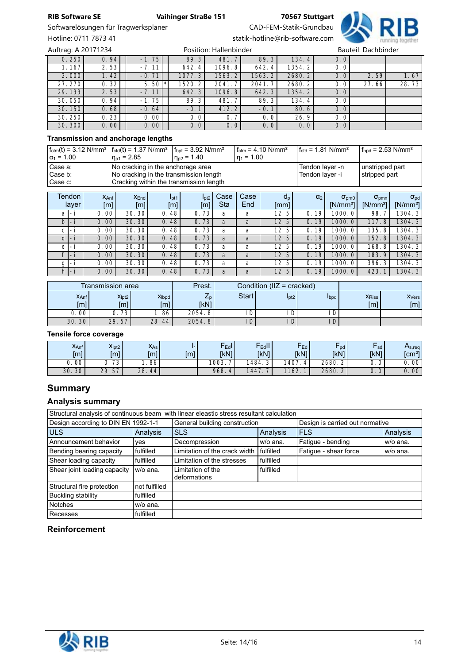Softwarelösungen für Tragwerksplaner CAD-FEM-Statik-Grundbau



Hotline: 0711 7873 41 statik-hotline@rib-software.com

0. 250 | 0.94 || -1. 75 || 89.3 || 481. 7 || 89.3 || 134. 4 || 0.0 1.167 | 2.53 | 2.11 | 642.4 | 1096.8 | 642.4 | 1354.2 | 0.0 2.000 1.42 -0.71 1077.3 1563.2 1563.2 2680.2 0.0 2.59 1.67 27.270 | 0.32 | 5.50 \* 1520.2 | 2041.7 | 2041.7 | 2680.2 | 0.0 | 27.66 | 28.73 29. 133 | 2. 53 | 2. 11 | 642.3 | 1096.8 | 642.3 | 1354.2 | 0.0 30.050 | 0.94 | -1.75 | 89.3 | 481.7 | 89.3 | 134.4 | 0.0 30.150 | 0.68 | -0.64 | -0.1 | 412.2 | -0.1 | 80.6 | 0.0 30.250 0.23 0.00 0.00 0.0 0.7 0.0 26.9 0.0 30.300 | 0.00 | 0.00 | 0.0 | 0.0 | 0.0 | 0.0 | 0.0 | 0.0 | 0.0 | 0.0 | 0.0 | 0.0 | Auftrag: A 20171234 **Position: Hallenbinder** Postion: Hallenbinder

#### **Transmission and anchorage lengths**

| $f_{\text{ctm}}(t) = 3.12 \text{ N/mm}^2$ $f_{\text{ctd}}(t) = 1.37 \text{ N/mm}^2$<br>$ \alpha_1 = 1.00$ | $n_{p1} = 2.85$                         | $f_{\rm{bot}} = 3.92$ N/mm <sup>2</sup><br>$n_{\rm D2}$ = 1.40 | $f_{\text{ctm}} = 4.10 \text{ N/mm}^2$<br>$\ln_1 = 1.00$ | $f_{\text{ctd}} = 1.81 \text{ N/mm}^2$ | $1 f_{bnd} = 2.53$ N/mm <sup>2</sup> |
|-----------------------------------------------------------------------------------------------------------|-----------------------------------------|----------------------------------------------------------------|----------------------------------------------------------|----------------------------------------|--------------------------------------|
| Case a:                                                                                                   | No cracking in the anchorage area       |                                                                | Tendon layer -n                                          | unstripped part                        |                                      |
| Case b:                                                                                                   | No cracking in the transmission length  |                                                                | Tendon laver -i                                          | stripped part                          |                                      |
| Case c:                                                                                                   | Cracking within the transmission length |                                                                |                                                          |                                        |                                      |

| <b>Tendon</b><br>layer |                          | $X_{\text{Anf}}$<br>[m] | X <sub>End</sub><br>[m] | I <sub>pt1</sub><br>[m] | I <sub>pt2</sub><br>[m] | Case<br>Sta | Casel<br>End | $d_{p}$<br>[mm] | $\alpha_2$                        | $\sigma_{\text{pmo}}$<br>[ $N/mm2$ ] | $\sigma_{\text{pmn}}$<br>$[N/mm^2]$ | $\sigma_{\rm pd}$<br>$[N/mm^2]$ |
|------------------------|--------------------------|-------------------------|-------------------------|-------------------------|-------------------------|-------------|--------------|-----------------|-----------------------------------|--------------------------------------|-------------------------------------|---------------------------------|
| a                      | -                        | 00<br>0.                | 30<br>30.               | 48<br>0.                | 73<br>$\mathbf{O}$ .    | a           | а            | 5<br>12.        | $\mathsf{O}$ .<br>19 <sub>1</sub> | 1000                                 | 98.                                 | 1304.3                          |
| b                      | $\overline{\phantom{0}}$ | 00<br>$\Omega$ .        | 30.<br>30'              | 48<br>$\mathsf{O}.$     | 73<br>$\mathbf{0}$ .    | a           | a            | 12.<br>5        | 0.<br>19 <sub>1</sub>             | 1000.                                | 117.8                               | 1304.3                          |
| С                      | $-$                      | 00<br>0.                | 30 <sup>°</sup><br>30.  | 48<br>$\Omega$          | 73<br>$\mathbf{O}$ .    | a           | a            | 12.<br>5        | $\mathsf{O}.$<br>19 <sub>1</sub>  | 1000                                 | 135.<br>8                           | 1304.3                          |
|                        | -1                       | 00<br>0                 | 30.<br>30               | 48<br>0.                | 73<br>0.                | a           | a            | 12.<br>5        | 0.<br>19 <sub>1</sub>             | 1000                                 | 152.8                               | 1304.3                          |
| е                      | Ξì                       | 00<br>0                 | 30<br>30.               | 48<br>0                 | 73<br>$\mathbf{O}$ .    | a           | a            | 12.<br>5        | 19 <sub>1</sub><br>0.             | 1000                                 | 168.<br>. 8                         | 1304.3                          |
| <b>C</b>               | $-1$                     | 00<br>$\Omega$          | 30<br>30.               | 48<br>$\Omega$ .        | 0.73                    | a           | a            | 12.<br>5        | 19<br>$\Omega$ .                  | 1000.                                | 183.<br>9                           | 1304.3                          |
| g                      | - 1                      | 00                      | 30<br>30                | 48<br>0                 | 73<br>0.                | a           | a            | 12.<br>5        | 19 <sub>1</sub><br>0.             | 1000                                 | 396.<br>3                           | 1304.3                          |
| h                      | $-1$                     | $00\,$<br>Ο.            | 30.<br>30               | 48<br>$\mathsf{O}$      | 73<br>$\mathsf{O}.$     | a           | a            | 12.<br>5        | 19 <sub>h</sub><br>0.             | 1000                                 | 423.                                | 1304.3                          |

| Transmission area       |                          |                                      | Prest.                 | Condition $(IIZ = cracked)$ |                  |      |                      |                          |
|-------------------------|--------------------------|--------------------------------------|------------------------|-----------------------------|------------------|------|----------------------|--------------------------|
| $X_{\text{Anf}}$<br>[m] | X <sub>lot2</sub><br>[m] | X <sub>lbpd</sub><br><sup>r</sup> m1 | $L_{D}$<br><b>IKN1</b> | <b>Start</b>                | I <sub>pt2</sub> | Ibpd | <b>X</b> Riss<br>[m] | X <sub>Vers</sub><br>[m] |
| 00                      | 73                       | .86'                                 | 2054.8                 | D                           | ш                |      |                      |                          |
| 30.30                   | 29.57                    | 28.<br>. 44                          | 2054.8                 | Ð<br>υ                      |                  |      |                      |                          |

#### **Tensile force coverage**

| $X_{\text{Anf}}$<br>[m] | X <sub>lpt2</sub><br>「m]      | $X_{As}$<br>[ml] | [ml] | $\overline{\phantom{a}}$ Ed <sup>I</sup> .<br><b>IkN1</b> | -<br>Edd<br><b>IkN1</b> | $F_{Ed}$<br>[kN] | -<br>pd<br><b>IkN1</b> | sd.<br><b>IkN1</b> | $\mathsf{m}_{s, \mathsf{req}}$<br>[cm <sup>2</sup> ] |
|-------------------------|-------------------------------|------------------|------|-----------------------------------------------------------|-------------------------|------------------|------------------------|--------------------|------------------------------------------------------|
| 00<br>U.                | $\overline{\phantom{a}}$<br>د | 86               |      | '003.                                                     | 1484.                   | 407<br>Д         | 2680.2                 | 0<br>ັ.            | 00<br>U.                                             |
| 30<br>30.               | 57<br>29.                     | 28.<br>44        |      | 968.<br>$\mu$                                             | 1447                    | 1162.            | 2680.2                 | 0<br>υ.            | 00<br>0.                                             |

# **Summary**

# **Analysis summary**

| Structural analysis of continuous beam with linear eleastic stress resultant calculation |               |                                           |           |                                 |          |  |
|------------------------------------------------------------------------------------------|---------------|-------------------------------------------|-----------|---------------------------------|----------|--|
| Design according to DIN EN 1992-1-1                                                      |               | General building construction             |           | Design is carried out normative |          |  |
| <b>ULS</b>                                                                               | Analysis      | <b>SLS</b><br>Analysis                    |           | <b>FLS</b>                      | Analysis |  |
| Announcement behavior                                                                    | yes           | Decompression                             | w/o ana.  | Fatigue - bending               | w/o ana. |  |
| Bending bearing capacity                                                                 | fulfilled     | Limitation of the crack width   fulfilled |           | Fatique - shear force           | w/o ana. |  |
| Shear loading capacity                                                                   | fulfilled     | Limitation of the stresses                | fulfilled |                                 |          |  |
| Shear joint loading capacity<br>w/o ana.                                                 |               | Limitation of the<br>deformations         | fulfilled |                                 |          |  |
| Structural fire protection                                                               | not fulfilled |                                           |           |                                 |          |  |
| Buckling stability                                                                       | fulfilled     |                                           |           |                                 |          |  |
| <b>Notches</b>                                                                           | w/o ana.      |                                           |           |                                 |          |  |
| Recesses                                                                                 | fulfilled     |                                           |           |                                 |          |  |

#### **Reinforcement**

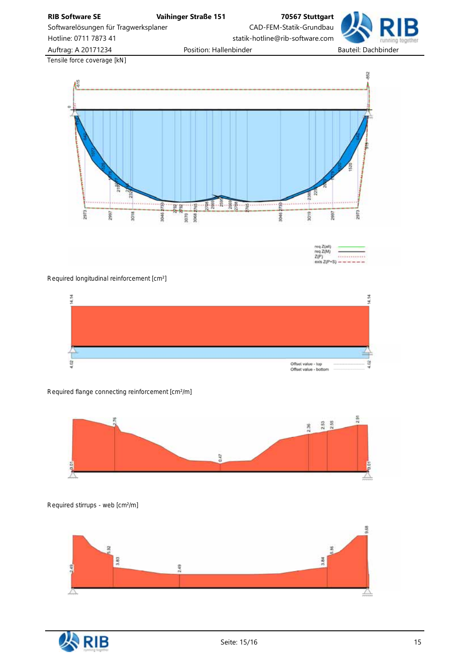**RIB Software SE Vaihinger Straße 151 70567 Stuttgart** Softwarelösungen für Tragwerksplaner CAD-FEM-Statik-Grundbau Hotline: 0711 7873 41 statik-hotline@rib-software.com Auftrag: A 20171234 **Position: Hallenbinder** Position: Hallenbinder Bauteil: Dachbinder *Tensile force coverage [kN]* 82



eg Z(all neq Z(M)  $Z(P)$  $exist Z(P+S)$ 

*Required longitudinal reinforcement [cm²]*



*Required flange connecting reinforcement [cm²/m]*



*Required stirrups - web [cm²/m]*